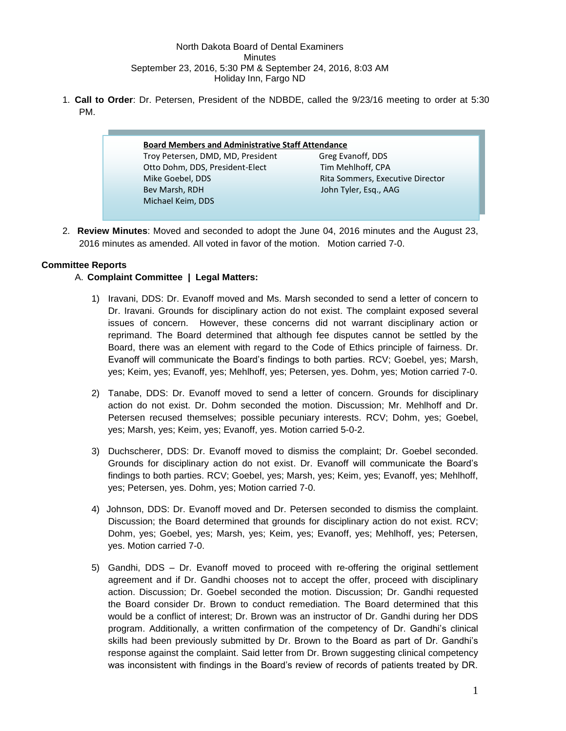### North Dakota Board of Dental Examiners Minutes September 23, 2016, 5:30 PM & September 24, 2016, 8:03 AM Holiday Inn, Fargo ND

1. **Call to Order**: Dr. Petersen, President of the NDBDE, called the 9/23/16 meeting to order at 5:30 PM.

# **Board Members and Administrative Staff Attendance** Troy Petersen, DMD, MD, President Greg Evanoff, DDS Otto Dohm, DDS, President-Elect Tim Mehlhoff, CPA Mike Goebel, DDS **Rita Sommers, Executive Director** Bev Marsh, RDH John Tyler, Esq., AAG Michael Keim, DDS

2. **Review Minutes**: Moved and seconded to adopt the June 04, 2016 minutes and the August 23, 2016 minutes as amended. All voted in favor of the motion. Motion carried 7-0.

## **Committee Reports**

## A. **Complaint Committee | Legal Matters:**

- 1) Iravani, DDS: Dr. Evanoff moved and Ms. Marsh seconded to send a letter of concern to Dr. Iravani. Grounds for disciplinary action do not exist. The complaint exposed several issues of concern. However, these concerns did not warrant disciplinary action or reprimand. The Board determined that although fee disputes cannot be settled by the Board, there was an element with regard to the Code of Ethics principle of fairness. Dr. Evanoff will communicate the Board's findings to both parties. RCV; Goebel, yes; Marsh, yes; Keim, yes; Evanoff, yes; Mehlhoff, yes; Petersen, yes. Dohm, yes; Motion carried 7-0.
- 2) Tanabe, DDS: Dr. Evanoff moved to send a letter of concern. Grounds for disciplinary action do not exist. Dr. Dohm seconded the motion. Discussion; Mr. Mehlhoff and Dr. Petersen recused themselves; possible pecuniary interests. RCV; Dohm, yes; Goebel, yes; Marsh, yes; Keim, yes; Evanoff, yes. Motion carried 5-0-2.
- 3) Duchscherer, DDS: Dr. Evanoff moved to dismiss the complaint; Dr. Goebel seconded. Grounds for disciplinary action do not exist. Dr. Evanoff will communicate the Board's findings to both parties. RCV; Goebel, yes; Marsh, yes; Keim, yes; Evanoff, yes; Mehlhoff, yes; Petersen, yes. Dohm, yes; Motion carried 7-0.
- 4) Johnson, DDS: Dr. Evanoff moved and Dr. Petersen seconded to dismiss the complaint. Discussion; the Board determined that grounds for disciplinary action do not exist. RCV; Dohm, yes; Goebel, yes; Marsh, yes; Keim, yes; Evanoff, yes; Mehlhoff, yes; Petersen, yes. Motion carried 7-0.
- 5) Gandhi, DDS Dr. Evanoff moved to proceed with re-offering the original settlement agreement and if Dr. Gandhi chooses not to accept the offer, proceed with disciplinary action. Discussion; Dr. Goebel seconded the motion. Discussion; Dr. Gandhi requested the Board consider Dr. Brown to conduct remediation. The Board determined that this would be a conflict of interest; Dr. Brown was an instructor of Dr. Gandhi during her DDS program. Additionally, a written confirmation of the competency of Dr. Gandhi's clinical skills had been previously submitted by Dr. Brown to the Board as part of Dr. Gandhi's response against the complaint. Said letter from Dr. Brown suggesting clinical competency was inconsistent with findings in the Board's review of records of patients treated by DR.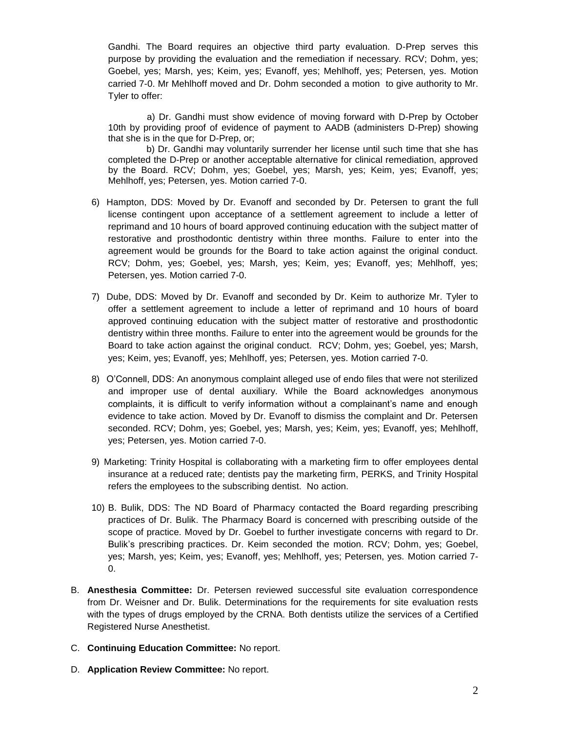Gandhi. The Board requires an objective third party evaluation. D-Prep serves this purpose by providing the evaluation and the remediation if necessary. RCV; Dohm, yes; Goebel, yes; Marsh, yes; Keim, yes; Evanoff, yes; Mehlhoff, yes; Petersen, yes. Motion carried 7-0. Mr Mehlhoff moved and Dr. Dohm seconded a motion to give authority to Mr. Tyler to offer:

 a) Dr. Gandhi must show evidence of moving forward with D-Prep by October 10th by providing proof of evidence of payment to AADB (administers D-Prep) showing that she is in the que for D-Prep, or;

 b) Dr. Gandhi may voluntarily surrender her license until such time that she has completed the D-Prep or another acceptable alternative for clinical remediation, approved by the Board. RCV; Dohm, yes; Goebel, yes; Marsh, yes; Keim, yes; Evanoff, yes; Mehlhoff, yes; Petersen, yes. Motion carried 7-0.

- 6) Hampton, DDS: Moved by Dr. Evanoff and seconded by Dr. Petersen to grant the full license contingent upon acceptance of a settlement agreement to include a letter of reprimand and 10 hours of board approved continuing education with the subject matter of restorative and prosthodontic dentistry within three months. Failure to enter into the agreement would be grounds for the Board to take action against the original conduct. RCV; Dohm, yes; Goebel, yes; Marsh, yes; Keim, yes; Evanoff, yes; Mehlhoff, yes; Petersen, yes. Motion carried 7-0.
- 7) Dube, DDS: Moved by Dr. Evanoff and seconded by Dr. Keim to authorize Mr. Tyler to offer a settlement agreement to include a letter of reprimand and 10 hours of board approved continuing education with the subject matter of restorative and prosthodontic dentistry within three months. Failure to enter into the agreement would be grounds for the Board to take action against the original conduct. RCV; Dohm, yes; Goebel, yes; Marsh, yes; Keim, yes; Evanoff, yes; Mehlhoff, yes; Petersen, yes. Motion carried 7-0.
- 8) O'Connell, DDS: An anonymous complaint alleged use of endo files that were not sterilized and improper use of dental auxiliary. While the Board acknowledges anonymous complaints, it is difficult to verify information without a complainant's name and enough evidence to take action. Moved by Dr. Evanoff to dismiss the complaint and Dr. Petersen seconded. RCV; Dohm, yes; Goebel, yes; Marsh, yes; Keim, yes; Evanoff, yes; Mehlhoff, yes; Petersen, yes. Motion carried 7-0.
- 9) Marketing: Trinity Hospital is collaborating with a marketing firm to offer employees dental insurance at a reduced rate; dentists pay the marketing firm, PERKS, and Trinity Hospital refers the employees to the subscribing dentist. No action.
- 10) B. Bulik, DDS: The ND Board of Pharmacy contacted the Board regarding prescribing practices of Dr. Bulik. The Pharmacy Board is concerned with prescribing outside of the scope of practice. Moved by Dr. Goebel to further investigate concerns with regard to Dr. Bulik's prescribing practices. Dr. Keim seconded the motion. RCV; Dohm, yes; Goebel, yes; Marsh, yes; Keim, yes; Evanoff, yes; Mehlhoff, yes; Petersen, yes. Motion carried 7- 0.
- B. **Anesthesia Committee:** Dr. Petersen reviewed successful site evaluation correspondence from Dr. Weisner and Dr. Bulik. Determinations for the requirements for site evaluation rests with the types of drugs employed by the CRNA. Both dentists utilize the services of a Certified Registered Nurse Anesthetist.
- C. **Continuing Education Committee:** No report.
- D. **Application Review Committee:** No report.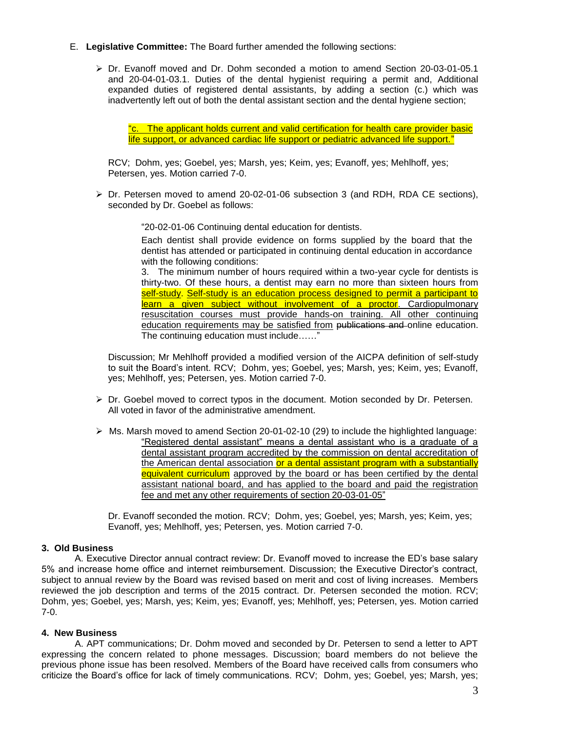- E. **Legislative Committee:** The Board further amended the following sections:
	- $\triangleright$  Dr. Evanoff moved and Dr. Dohm seconded a motion to amend Section 20-03-01-05.1 and 20-04-01-03.1. Duties of the dental hygienist requiring a permit and, Additional expanded duties of registered dental assistants, by adding a section (c.) which was inadvertently left out of both the dental assistant section and the dental hygiene section;

"c. The applicant holds current and valid certification for health care provider basic life support, or advanced cardiac life support or pediatric advanced life support."

RCV; Dohm, yes; Goebel, yes; Marsh, yes; Keim, yes; Evanoff, yes; Mehlhoff, yes; Petersen, yes. Motion carried 7-0.

 $\triangleright$  Dr. Petersen moved to amend 20-02-01-06 subsection 3 (and RDH, RDA CE sections), seconded by Dr. Goebel as follows:

"20-02-01-06 Continuing dental education for dentists.

Each dentist shall provide evidence on forms supplied by the board that the dentist has attended or participated in continuing dental education in accordance with the following conditions:

3. The minimum number of hours required within a two-year cycle for dentists is thirty-two. Of these hours, a dentist may earn no more than sixteen hours from self-study. Self-study is an education process designed to permit a participant to learn a given subject without involvement of a proctor. Cardiopulmonary resuscitation courses must provide hands-on training. All other continuing education requirements may be satisfied from publications and online education. The continuing education must include……"

Discussion; Mr Mehlhoff provided a modified version of the AICPA definition of self-study to suit the Board's intent. RCV; Dohm, yes; Goebel, yes; Marsh, yes; Keim, yes; Evanoff, yes; Mehlhoff, yes; Petersen, yes. Motion carried 7-0.

- $\triangleright$  Dr. Goebel moved to correct typos in the document. Motion seconded by Dr. Petersen. All voted in favor of the administrative amendment.
- $\triangleright$  Ms. Marsh moved to amend Section 20-01-02-10 (29) to include the highlighted language: "Registered dental assistant" means a dental assistant who is a graduate of a dental assistant program accredited by the commission on dental accreditation of the American dental association or a dental assistant program with a substantially equivalent curriculum approved by the board or has been certified by the dental assistant national board, and has applied to the board and paid the registration fee and met any other requirements of section 20-03-01-05"

Dr. Evanoff seconded the motion. RCV; Dohm, yes; Goebel, yes; Marsh, yes; Keim, yes; Evanoff, yes; Mehlhoff, yes; Petersen, yes. Motion carried 7-0.

#### **3. Old Business**

A. Executive Director annual contract review: Dr. Evanoff moved to increase the ED's base salary 5% and increase home office and internet reimbursement. Discussion; the Executive Director's contract, subject to annual review by the Board was revised based on merit and cost of living increases. Members reviewed the job description and terms of the 2015 contract. Dr. Petersen seconded the motion. RCV; Dohm, yes; Goebel, yes; Marsh, yes; Keim, yes; Evanoff, yes; Mehlhoff, yes; Petersen, yes. Motion carried 7-0.

#### **4. New Business**

A. APT communications; Dr. Dohm moved and seconded by Dr. Petersen to send a letter to APT expressing the concern related to phone messages. Discussion; board members do not believe the previous phone issue has been resolved. Members of the Board have received calls from consumers who criticize the Board's office for lack of timely communications. RCV; Dohm, yes; Goebel, yes; Marsh, yes;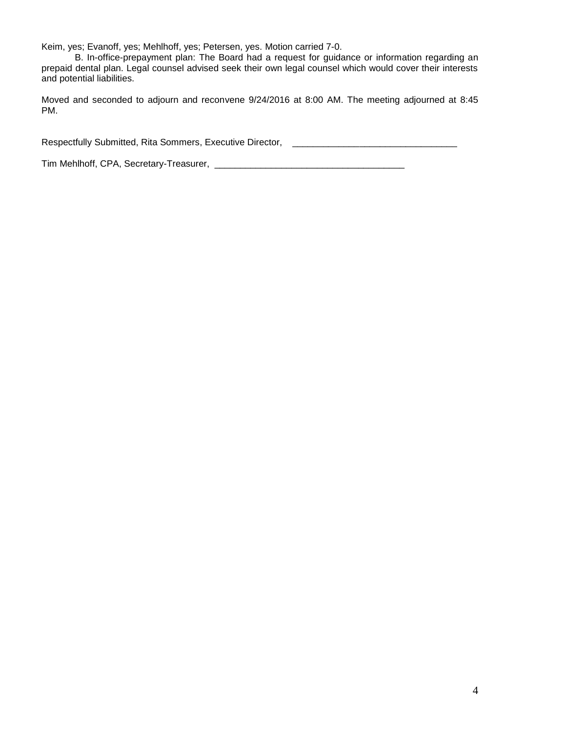Keim, yes; Evanoff, yes; Mehlhoff, yes; Petersen, yes. Motion carried 7-0.

B. In-office-prepayment plan: The Board had a request for guidance or information regarding an prepaid dental plan. Legal counsel advised seek their own legal counsel which would cover their interests and potential liabilities.

Moved and seconded to adjourn and reconvene 9/24/2016 at 8:00 AM. The meeting adjourned at 8:45 PM.

Respectfully Submitted, Rita Sommers, Executive Director, **Less Literature 2016** 

Tim Mehlhoff, CPA, Secretary-Treasurer, \_\_\_\_\_\_\_\_\_\_\_\_\_\_\_\_\_\_\_\_\_\_\_\_\_\_\_\_\_\_\_\_\_\_\_\_\_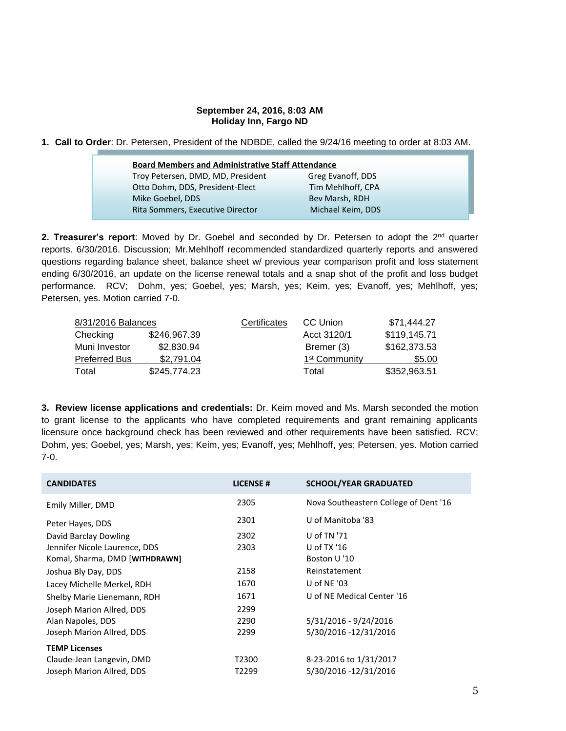#### **September 24, 2016, 8:03 AM Holiday Inn, Fargo ND**

**1. Call to Order**: Dr. Petersen, President of the NDBDE, called the 9/24/16 meeting to order at 8:03 AM.

|                                   | <b>Board Members and Administrative Staff Attendance</b> |  |  |
|-----------------------------------|----------------------------------------------------------|--|--|
| Troy Petersen, DMD, MD, President | Greg Evanoff, DDS                                        |  |  |
| Otto Dohm, DDS, President-Elect   | Tim Mehlhoff, CPA                                        |  |  |
| Mike Goebel, DDS                  | Bev Marsh, RDH                                           |  |  |
| Rita Sommers, Executive Director  | Michael Keim, DDS                                        |  |  |

**2. Treasurer's report**: Moved by Dr. Goebel and seconded by Dr. Petersen to adopt the 2<sup>nd</sup> quarter reports. 6/30/2016. Discussion; Mr.Mehlhoff recommended standardized quarterly reports and answered questions regarding balance sheet, balance sheet w/ previous year comparison profit and loss statement ending 6/30/2016, an update on the license renewal totals and a snap shot of the profit and loss budget performance. RCV; Dohm, yes; Goebel, yes; Marsh, yes; Keim, yes; Evanoff, yes; Mehlhoff, yes; Petersen, yes. Motion carried 7-0.

| 8/31/2016 Balances   |              | Certificates | CC Union                  | \$71,444.27  |
|----------------------|--------------|--------------|---------------------------|--------------|
| Checking             | \$246,967.39 |              | Acct 3120/1               | \$119,145.71 |
| Muni Investor        | \$2,830.94   |              | Bremer (3)                | \$162,373.53 |
| <b>Preferred Bus</b> | \$2,791.04   |              | 1 <sup>st</sup> Community | \$5.00       |
| Total                | \$245,774.23 |              | Total                     | \$352,963.51 |

**3. Review license applications and credentials:** Dr. Keim moved and Ms. Marsh seconded the motion to grant license to the applicants who have completed requirements and grant remaining applicants licensure once background check has been reviewed and other requirements have been satisfied. RCV; Dohm, yes; Goebel, yes; Marsh, yes; Keim, yes; Evanoff, yes; Mehlhoff, yes; Petersen, yes. Motion carried 7-0.

| <b>CANDIDATES</b>              | <b>LICENSE#</b> | <b>SCHOOL/YEAR GRADUATED</b>          |
|--------------------------------|-----------------|---------------------------------------|
| Emily Miller, DMD              | 2305            | Nova Southeastern College of Dent '16 |
| Peter Hayes, DDS               | 2301            | U of Manitoba '83                     |
| David Barclay Dowling          | 2302            | U of TN '71                           |
| Jennifer Nicole Laurence, DDS  | 2303            | U of $TX'16$                          |
| Komal, Sharma, DMD [WITHDRAWN] |                 | Boston U '10                          |
| Joshua Bly Day, DDS            | 2158            | Reinstatement                         |
| Lacey Michelle Merkel, RDH     | 1670            | U of NE $'$ 03                        |
| Shelby Marie Lienemann, RDH    | 1671            | U of NE Medical Center '16            |
| Joseph Marion Allred, DDS      | 2299            |                                       |
| Alan Napoles, DDS              | 2290            | 5/31/2016 - 9/24/2016                 |
| Joseph Marion Allred, DDS      | 2299            | 5/30/2016 -12/31/2016                 |
| <b>TEMP Licenses</b>           |                 |                                       |
| Claude-Jean Langevin, DMD      | T2300           | 8-23-2016 to 1/31/2017                |
| Joseph Marion Allred, DDS      | T2299           | 5/30/2016 -12/31/2016                 |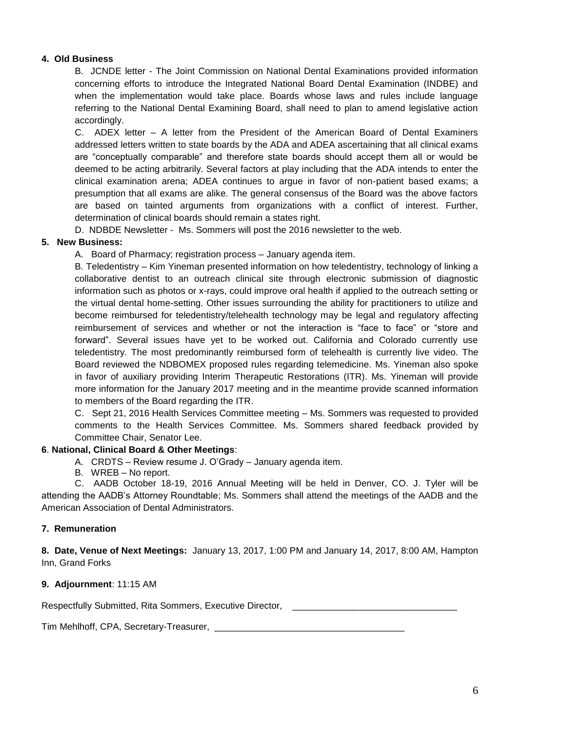## **4. Old Business**

B. JCNDE letter - The Joint Commission on National Dental Examinations provided information concerning efforts to introduce the Integrated National Board Dental Examination (INDBE) and when the implementation would take place. Boards whose laws and rules include language referring to the National Dental Examining Board, shall need to plan to amend legislative action accordingly.

C. ADEX letter – A letter from the President of the American Board of Dental Examiners addressed letters written to state boards by the ADA and ADEA ascertaining that all clinical exams are "conceptually comparable" and therefore state boards should accept them all or would be deemed to be acting arbitrarily. Several factors at play including that the ADA intends to enter the clinical examination arena; ADEA continues to argue in favor of non-patient based exams; a presumption that all exams are alike. The general consensus of the Board was the above factors are based on tainted arguments from organizations with a conflict of interest. Further, determination of clinical boards should remain a states right.

D. NDBDE Newsletter - Ms. Sommers will post the 2016 newsletter to the web.

## **5. New Business:**

A. Board of Pharmacy; registration process – January agenda item.

B. Teledentistry – Kim Yineman presented information on how teledentistry, technology of linking a collaborative dentist to an outreach clinical site through electronic submission of diagnostic information such as photos or x-rays, could improve oral health if applied to the outreach setting or the virtual dental home-setting. Other issues surrounding the ability for practitioners to utilize and become reimbursed for teledentistry/telehealth technology may be legal and regulatory affecting reimbursement of services and whether or not the interaction is "face to face" or "store and forward". Several issues have yet to be worked out. California and Colorado currently use teledentistry. The most predominantly reimbursed form of telehealth is currently live video. The Board reviewed the NDBOMEX proposed rules regarding telemedicine. Ms. Yineman also spoke in favor of auxiliary providing Interim Therapeutic Restorations (ITR). Ms. Yineman will provide more information for the January 2017 meeting and in the meantime provide scanned information to members of the Board regarding the ITR.

C. Sept 21, 2016 Health Services Committee meeting – Ms. Sommers was requested to provided comments to the Health Services Committee. Ms. Sommers shared feedback provided by Committee Chair, Senator Lee.

## **6**. **National, Clinical Board & Other Meetings**:

- A. CRDTS Review resume J. O'Grady January agenda item.
- B. WREB No report.

C. AADB October 18-19, 2016 Annual Meeting will be held in Denver, CO. J. Tyler will be attending the AADB's Attorney Roundtable; Ms. Sommers shall attend the meetings of the AADB and the American Association of Dental Administrators.

## **7. Remuneration**

**8. Date, Venue of Next Meetings:** January 13, 2017, 1:00 PM and January 14, 2017, 8:00 AM, Hampton Inn, Grand Forks

## **9. Adjournment**: 11:15 AM

Respectfully Submitted, Rita Sommers, Executive Director,

Tim Mehlhoff, CPA, Secretary-Treasurer, \_\_\_\_\_\_\_\_\_\_\_\_\_\_\_\_\_\_\_\_\_\_\_\_\_\_\_\_\_\_\_\_\_\_\_\_\_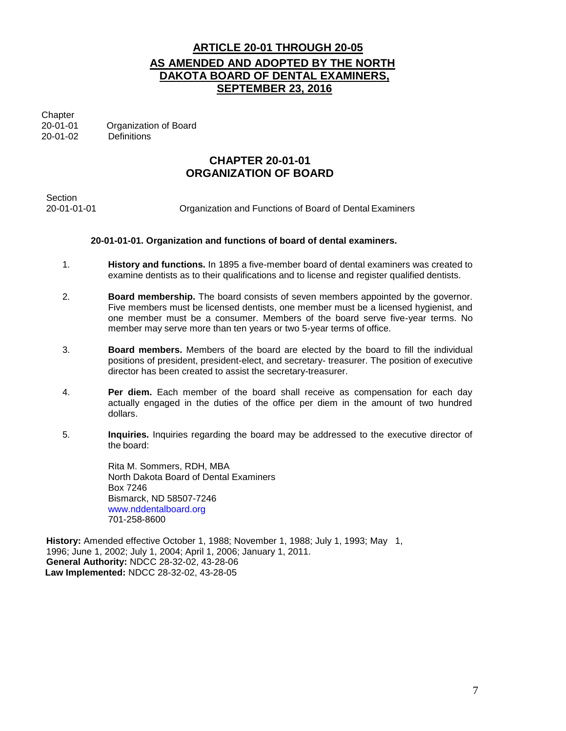# **ARTICLE 20-01 THROUGH 20-05 AS AMENDED AND ADOPTED BY THE NORTH DAKOTA BOARD OF DENTAL EXAMINERS, SEPTEMBER 23, 2016**

**Chapter** 

20-01-01 Organization of Board 20-01-02 Definitions

# **CHAPTER 20-01-01 ORGANIZATION OF BOARD**

Section<br>20-01-01-01 Organization and Functions of Board of Dental Examiners

## **20-01-01-01. Organization and functions of board of dental examiners.**

- 1. **History and functions.** In 1895 a five-member board of dental examiners was created to examine dentists as to their qualifications and to license and register qualified dentists.
- 2. **Board membership.** The board consists of seven members appointed by the governor. Five members must be licensed dentists, one member must be a licensed hygienist, and one member must be a consumer. Members of the board serve five-year terms. No member may serve more than ten years or two 5-year terms of office.
- 3. **Board members.** Members of the board are elected by the board to fill the individual positions of president, president-elect, and secretary- treasurer. The position of executive director has been created to assist the secretary-treasurer.
- 4. **Per diem.** Each member of the board shall receive as compensation for each day actually engaged in the duties of the office per diem in the amount of two hundred dollars.
- 5. **Inquiries.** Inquiries regarding the board may be addressed to the executive director of the board:

Rita M. Sommers, RDH, MBA North Dakota Board of Dental Examiners Box 7246 Bismarck, ND 58507-7246 [www.nddentalboard.org](http://www.nddentalboard.org/) 701-258-8600

**History:** Amended effective October 1, 1988; November 1, 1988; July 1, 1993; May 1, 1996; June 1, 2002; July 1, 2004; April 1, 2006; January 1, 2011. **General Authority:** NDCC 28-32-02, 43-28-06 **Law Implemented:** NDCC 28-32-02, 43-28-05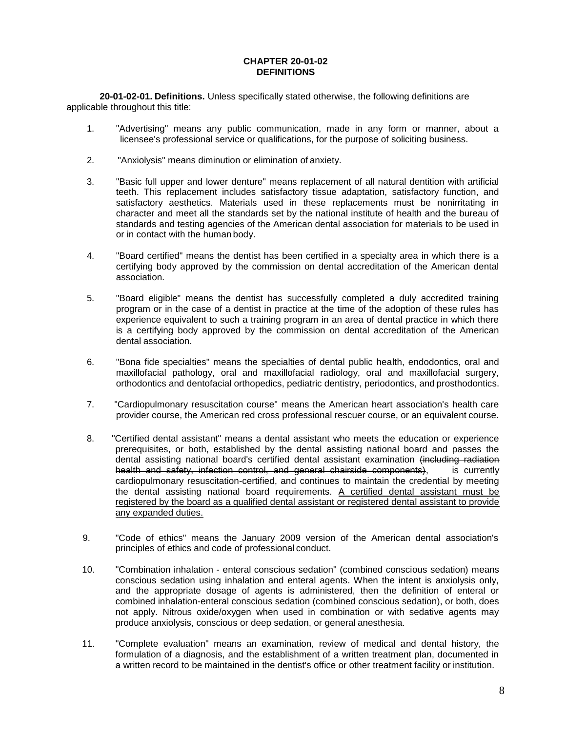#### **CHAPTER 20-01-02 DEFINITIONS**

**20-01-02-01. Definitions.** Unless specifically stated otherwise, the following definitions are applicable throughout this title:

- 1. "Advertising" means any public communication, made in any form or manner, about a licensee's professional service or qualifications, for the purpose of soliciting business.
- 2. "Anxiolysis" means diminution or elimination of anxiety.
- 3. "Basic full upper and lower denture" means replacement of all natural dentition with artificial teeth. This replacement includes satisfactory tissue adaptation, satisfactory function, and satisfactory aesthetics. Materials used in these replacements must be nonirritating in character and meet all the standards set by the national institute of health and the bureau of standards and testing agencies of the American dental association for materials to be used in or in contact with the human body.
- 4. "Board certified" means the dentist has been certified in a specialty area in which there is a certifying body approved by the commission on dental accreditation of the American dental association.
- 5. "Board eligible" means the dentist has successfully completed a duly accredited training program or in the case of a dentist in practice at the time of the adoption of these rules has experience equivalent to such a training program in an area of dental practice in which there is a certifying body approved by the commission on dental accreditation of the American dental association.
- 6. "Bona fide specialties" means the specialties of dental public health, endodontics, oral and maxillofacial pathology, oral and maxillofacial radiology, oral and maxillofacial surgery, orthodontics and dentofacial orthopedics, pediatric dentistry, periodontics, and prosthodontics.
- 7. "Cardiopulmonary resuscitation course" means the American heart association's health care provider course, the American red cross professional rescuer course, or an equivalent course.
- 8. "Certified dental assistant" means a dental assistant who meets the education or experience prerequisites, or both, established by the dental assisting national board and passes the dental assisting national board's certified dental assistant examination (including radiation health and safety, infection control, and general chairside components), is currently cardiopulmonary resuscitation-certified, and continues to maintain the credential by meeting the dental assisting national board requirements. A certified dental assistant must be registered by the board as a qualified dental assistant or registered dental assistant to provide any expanded duties.
- 9. "Code of ethics" means the January 2009 version of the American dental association's principles of ethics and code of professional conduct.
- 10. "Combination inhalation enteral conscious sedation" (combined conscious sedation) means conscious sedation using inhalation and enteral agents. When the intent is anxiolysis only, and the appropriate dosage of agents is administered, then the definition of enteral or combined inhalation-enteral conscious sedation (combined conscious sedation), or both, does not apply. Nitrous oxide/oxygen when used in combination or with sedative agents may produce anxiolysis, conscious or deep sedation, or general anesthesia.
- 11. "Complete evaluation" means an examination, review of medical and dental history, the formulation of a diagnosis, and the establishment of a written treatment plan, documented in a written record to be maintained in the dentist's office or other treatment facility or institution.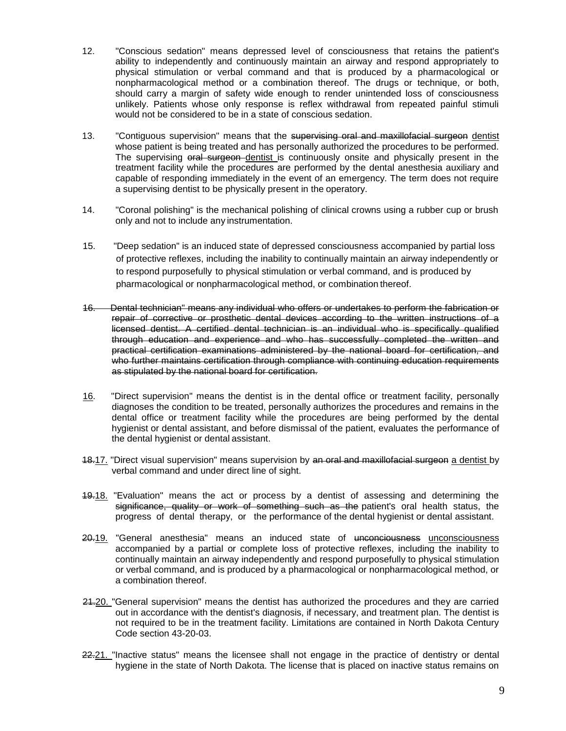- 12. "Conscious sedation" means depressed level of consciousness that retains the patient's ability to independently and continuously maintain an airway and respond appropriately to physical stimulation or verbal command and that is produced by a pharmacological or nonpharmacological method or a combination thereof. The drugs or technique, or both, should carry a margin of safety wide enough to render unintended loss of consciousness unlikely. Patients whose only response is reflex withdrawal from repeated painful stimuli would not be considered to be in a state of conscious sedation.
- 13. "Contiguous supervision" means that the supervising oral and maxillofacial surgeon dentist whose patient is being treated and has personally authorized the procedures to be performed. The supervising oral surgeon dentist is continuously onsite and physically present in the treatment facility while the procedures are performed by the dental anesthesia auxiliary and capable of responding immediately in the event of an emergency. The term does not require a supervising dentist to be physically present in the operatory.
- 14. "Coronal polishing" is the mechanical polishing of clinical crowns using a rubber cup or brush only and not to include any instrumentation.
- 15. "Deep sedation" is an induced state of depressed consciousness accompanied by partial loss of protective reflexes, including the inability to continually maintain an airway independently or to respond purposefully to physical stimulation or verbal command, and is produced by pharmacological or nonpharmacological method, or combination thereof.
- 16. Dental technician" means any individual who offers or undertakes to perform the fabrication or repair of corrective or prosthetic dental devices according to the written instructions of a licensed dentist. A certified dental technician is an individual who is specifically qualified through education and experience and who has successfully completed the written and practical certification examinations administered by the national board for certification, and who further maintains certification through compliance with continuing education requirements as stipulated by the national board for certification.
- 16. "Direct supervision" means the dentist is in the dental office or treatment facility, personally diagnoses the condition to be treated, personally authorizes the procedures and remains in the dental office or treatment facility while the procedures are being performed by the dental hygienist or dental assistant, and before dismissal of the patient, evaluates the performance of the dental hygienist or dental assistant.
- 18.17. "Direct visual supervision" means supervision by an oral and maxillofacial surgeon a dentist by verbal command and under direct line of sight.
- 19.18. "Evaluation" means the act or process by a dentist of assessing and determining the significance, quality or work of something such as the patient's oral health status, the progress of dental therapy, or the performance of the dental hygienist or dental assistant.
- 20.19. "General anesthesia" means an induced state of unconciousness unconsciousness accompanied by a partial or complete loss of protective reflexes, including the inability to continually maintain an airway independently and respond purposefully to physical stimulation or verbal command, and is produced by a pharmacological or nonpharmacological method, or a combination thereof.
- 21.20. "General supervision" means the dentist has authorized the procedures and they are carried out in accordance with the dentist's diagnosis, if necessary, and treatment plan. The dentist is not required to be in the treatment facility. Limitations are contained in North Dakota Century Code section 43-20-03.
- 22.21. "Inactive status" means the licensee shall not engage in the practice of dentistry or dental hygiene in the state of North Dakota. The license that is placed on inactive status remains on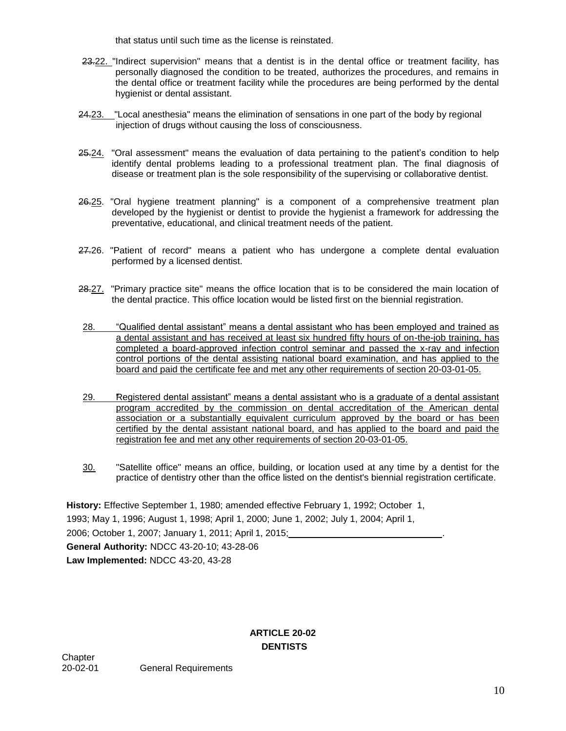that status until such time as the license is reinstated.

- 23.22. "Indirect supervision" means that a dentist is in the dental office or treatment facility, has personally diagnosed the condition to be treated, authorizes the procedures, and remains in the dental office or treatment facility while the procedures are being performed by the dental hygienist or dental assistant.
- 24.23. "Local anesthesia" means the elimination of sensations in one part of the body by regional injection of drugs without causing the loss of consciousness.
- 25.24. "Oral assessment" means the evaluation of data pertaining to the patient's condition to help identify dental problems leading to a professional treatment plan. The final diagnosis of disease or treatment plan is the sole responsibility of the supervising or collaborative dentist.
- 26.25. "Oral hygiene treatment planning" is a component of a comprehensive treatment plan developed by the hygienist or dentist to provide the hygienist a framework for addressing the preventative, educational, and clinical treatment needs of the patient.
- 27.26. "Patient of record" means a patient who has undergone a complete dental evaluation performed by a licensed dentist.
- 28.27. "Primary practice site" means the office location that is to be considered the main location of the dental practice. This office location would be listed first on the biennial registration.
- 28. "Qualified dental assistant" means a dental assistant who has been employed and trained as a dental assistant and has received at least six hundred fifty hours of on-the-job training, has completed a board-approved infection control seminar and passed the x-ray and infection control portions of the dental assisting national board examination, and has applied to the board and paid the certificate fee and met any other requirements of section 20-03-01-05.
- 29. "Registered dental assistant" means a dental assistant who is a graduate of a dental assistant program accredited by the commission on dental accreditation of the American dental association or a substantially equivalent curriculum approved by the board or has been certified by the dental assistant national board, and has applied to the board and paid the registration fee and met any other requirements of section 20-03-01-05.
- 30. "Satellite office" means an office, building, or location used at any time by a dentist for the practice of dentistry other than the office listed on the dentist's biennial registration certificate.

**History:** Effective September 1, 1980; amended effective February 1, 1992; October 1, 1993; May 1, 1996; August 1, 1998; April 1, 2000; June 1, 2002; July 1, 2004; April 1, 2006; October 1, 2007; January 1, 2011; April 1, 2015; . **General Authority:** NDCC 43-20-10; 43-28-06 **Law Implemented:** NDCC 43-20, 43-28

## **ARTICLE 20-02 DENTISTS**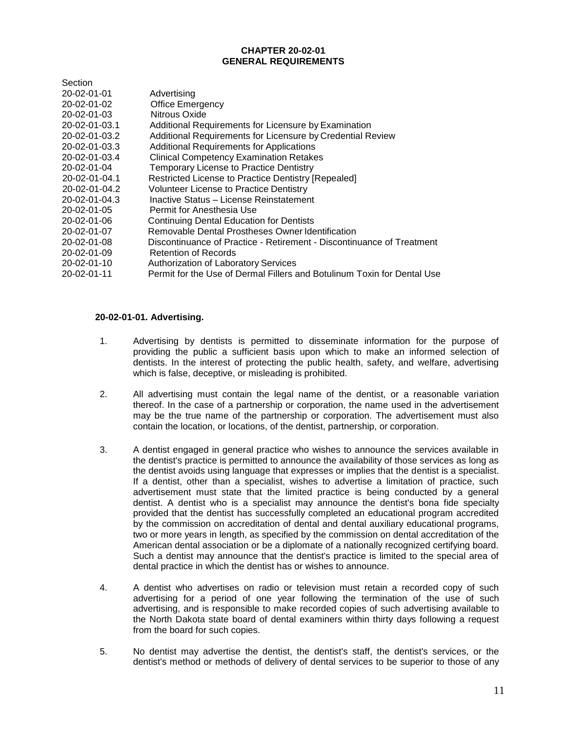### **CHAPTER 20-02-01 GENERAL REQUIREMENTS**

| Section             |                                                                         |
|---------------------|-------------------------------------------------------------------------|
| 20-02-01-01         | Advertising                                                             |
| 20-02-01-02         | <b>Office Emergency</b>                                                 |
| $20 - 02 - 01 - 03$ | Nitrous Oxide                                                           |
| 20-02-01-03.1       | Additional Requirements for Licensure by Examination                    |
| 20-02-01-03.2       | Additional Requirements for Licensure by Credential Review              |
| 20-02-01-03.3       | <b>Additional Requirements for Applications</b>                         |
| 20-02-01-03.4       | <b>Clinical Competency Examination Retakes</b>                          |
| 20-02-01-04         | <b>Temporary License to Practice Dentistry</b>                          |
| 20-02-01-04.1       | Restricted License to Practice Dentistry [Repealed]                     |
| 20-02-01-04.2       | <b>Volunteer License to Practice Dentistry</b>                          |
| 20-02-01-04.3       | Inactive Status - License Reinstatement                                 |
| 20-02-01-05         | Permit for Anesthesia Use                                               |
| 20-02-01-06         | <b>Continuing Dental Education for Dentists</b>                         |
| 20-02-01-07         | Removable Dental Prostheses Owner Identification                        |
| 20-02-01-08         | Discontinuance of Practice - Retirement - Discontinuance of Treatment   |
| 20-02-01-09         | Retention of Records                                                    |
| 20-02-01-10         | Authorization of Laboratory Services                                    |
| 20-02-01-11         | Permit for the Use of Dermal Fillers and Botulinum Toxin for Dental Use |
|                     |                                                                         |

### **20-02-01-01. Advertising.**

- 1. Advertising by dentists is permitted to disseminate information for the purpose of providing the public a sufficient basis upon which to make an informed selection of dentists. In the interest of protecting the public health, safety, and welfare, advertising which is false, deceptive, or misleading is prohibited.
- 2. All advertising must contain the legal name of the dentist, or a reasonable variation thereof. In the case of a partnership or corporation, the name used in the advertisement may be the true name of the partnership or corporation. The advertisement must also contain the location, or locations, of the dentist, partnership, or corporation.
- 3. A dentist engaged in general practice who wishes to announce the services available in the dentist's practice is permitted to announce the availability of those services as long as the dentist avoids using language that expresses or implies that the dentist is a specialist. If a dentist, other than a specialist, wishes to advertise a limitation of practice, such advertisement must state that the limited practice is being conducted by a general dentist. A dentist who is a specialist may announce the dentist's bona fide specialty provided that the dentist has successfully completed an educational program accredited by the commission on accreditation of dental and dental auxiliary educational programs, two or more years in length, as specified by the commission on dental accreditation of the American dental association or be a diplomate of a nationally recognized certifying board. Such a dentist may announce that the dentist's practice is limited to the special area of dental practice in which the dentist has or wishes to announce.
- 4. A dentist who advertises on radio or television must retain a recorded copy of such advertising for a period of one year following the termination of the use of such advertising, and is responsible to make recorded copies of such advertising available to the North Dakota state board of dental examiners within thirty days following a request from the board for such copies.
- 5. No dentist may advertise the dentist, the dentist's staff, the dentist's services, or the dentist's method or methods of delivery of dental services to be superior to those of any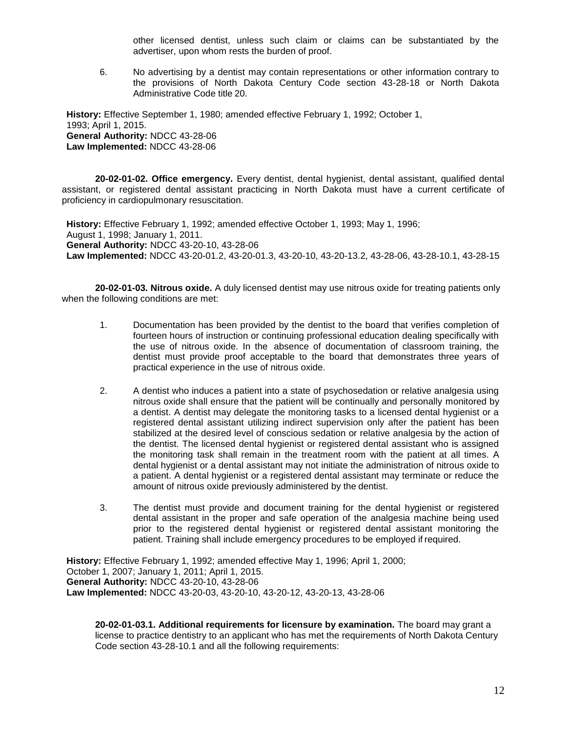other licensed dentist, unless such claim or claims can be substantiated by the advertiser, upon whom rests the burden of proof.

6. No advertising by a dentist may contain representations or other information contrary to the provisions of North Dakota Century Code section 43-28-18 or North Dakota Administrative Code title 20.

**History:** Effective September 1, 1980; amended effective February 1, 1992; October 1, 1993; April 1, 2015. **General Authority:** NDCC 43-28-06 **Law Implemented:** NDCC 43-28-06

**20-02-01-02. Office emergency.** Every dentist, dental hygienist, dental assistant, qualified dental assistant, or registered dental assistant practicing in North Dakota must have a current certificate of proficiency in cardiopulmonary resuscitation.

**History:** Effective February 1, 1992; amended effective October 1, 1993; May 1, 1996; August 1, 1998; January 1, 2011. **General Authority:** NDCC 43-20-10, 43-28-06 **Law Implemented:** NDCC 43-20-01.2, 43-20-01.3, 43-20-10, 43-20-13.2, 43-28-06, 43-28-10.1, 43-28-15

**20-02-01-03. Nitrous oxide.** A duly licensed dentist may use nitrous oxide for treating patients only when the following conditions are met:

- 1. Documentation has been provided by the dentist to the board that verifies completion of fourteen hours of instruction or continuing professional education dealing specifically with the use of nitrous oxide. In the absence of documentation of classroom training, the dentist must provide proof acceptable to the board that demonstrates three years of practical experience in the use of nitrous oxide.
- 2. A dentist who induces a patient into a state of psychosedation or relative analgesia using nitrous oxide shall ensure that the patient will be continually and personally monitored by a dentist. A dentist may delegate the monitoring tasks to a licensed dental hygienist or a registered dental assistant utilizing indirect supervision only after the patient has been stabilized at the desired level of conscious sedation or relative analgesia by the action of the dentist. The licensed dental hygienist or registered dental assistant who is assigned the monitoring task shall remain in the treatment room with the patient at all times. A dental hygienist or a dental assistant may not initiate the administration of nitrous oxide to a patient. A dental hygienist or a registered dental assistant may terminate or reduce the amount of nitrous oxide previously administered by the dentist.
- 3. The dentist must provide and document training for the dental hygienist or registered dental assistant in the proper and safe operation of the analgesia machine being used prior to the registered dental hygienist or registered dental assistant monitoring the patient. Training shall include emergency procedures to be employed if required.

**History:** Effective February 1, 1992; amended effective May 1, 1996; April 1, 2000; October 1, 2007; January 1, 2011; April 1, 2015. **General Authority:** NDCC 43-20-10, 43-28-06 **Law Implemented:** NDCC 43-20-03, 43-20-10, 43-20-12, 43-20-13, 43-28-06

**20-02-01-03.1. Additional requirements for licensure by examination.** The board may grant a license to practice dentistry to an applicant who has met the requirements of North Dakota Century Code section 43-28-10.1 and all the following requirements: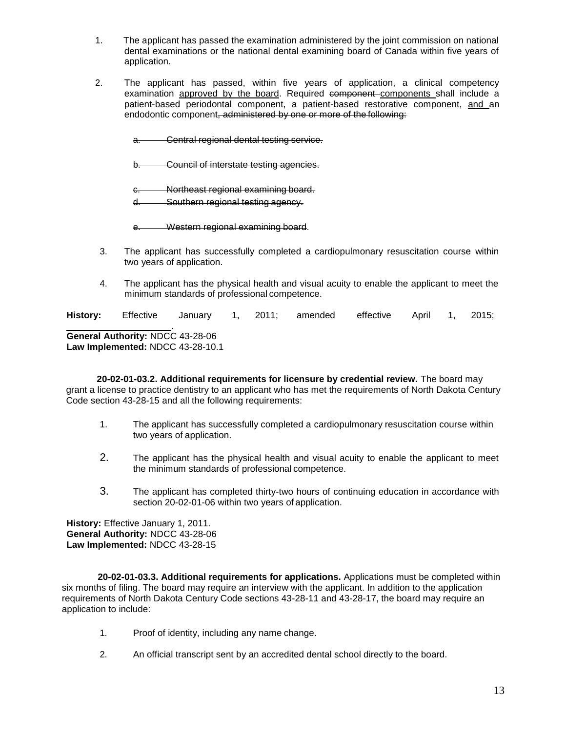- 1. The applicant has passed the examination administered by the joint commission on national dental examinations or the national dental examining board of Canada within five years of application.
- 2. The applicant has passed, within five years of application, a clinical competency examination approved by the board. Required component components shall include a patient-based periodontal component, a patient-based restorative component, and an endodontic component, administered by one or more of the following.
	- a. Central regional dental testing service.
	- b. Council of interstate testing agencies.
	- Northeast regional examining board.

d. Southern regional testing agency.

- e. Western regional examining board.
- 3. The applicant has successfully completed a cardiopulmonary resuscitation course within two years of application.
- 4. The applicant has the physical health and visual acuity to enable the applicant to meet the minimum standards of professional competence.

**History:** Effective January 1, 2011; amended effective April 1, 2015;

. **General Authority:** NDCC 43-28-06 **Law Implemented:** NDCC 43-28-10.1

 **20-02-01-03.2. Additional requirements for licensure by credential review.** The board may grant a license to practice dentistry to an applicant who has met the requirements of North Dakota Century Code section 43-28-15 and all the following requirements:

- 1. The applicant has successfully completed a cardiopulmonary resuscitation course within two years of application.
- 2. The applicant has the physical health and visual acuity to enable the applicant to meet the minimum standards of professional competence.
- 3. The applicant has completed thirty-two hours of continuing education in accordance with section 20-02-01-06 within two years of application.

**History:** Effective January 1, 2011. **General Authority:** NDCC 43-28-06 **Law Implemented:** NDCC 43-28-15

 **20-02-01-03.3. Additional requirements for applications.** Applications must be completed within six months of filing. The board may require an interview with the applicant. In addition to the application requirements of North Dakota Century Code sections 43-28-11 and 43-28-17, the board may require an application to include:

- 1. Proof of identity, including any name change.
- 2. An official transcript sent by an accredited dental school directly to the board.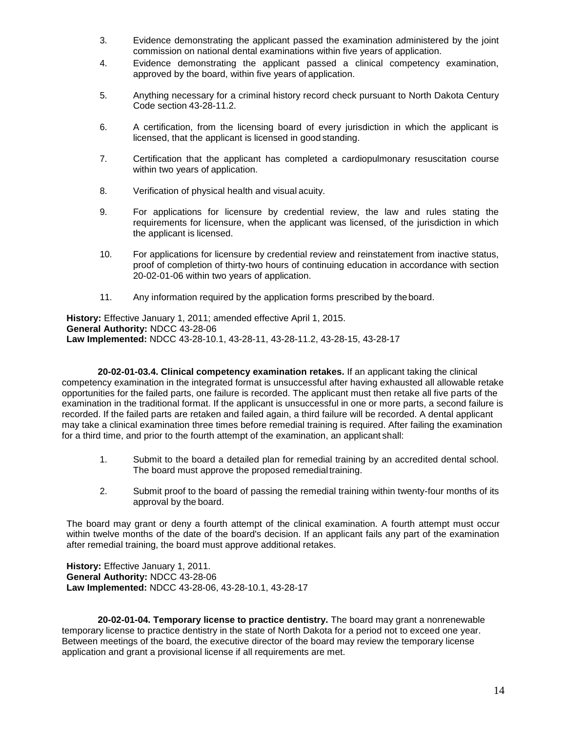- 3. Evidence demonstrating the applicant passed the examination administered by the joint commission on national dental examinations within five years of application.
- 4. Evidence demonstrating the applicant passed a clinical competency examination, approved by the board, within five years of application.
- 5. Anything necessary for a criminal history record check pursuant to North Dakota Century Code section 43-28-11.2.
- 6. A certification, from the licensing board of every jurisdiction in which the applicant is licensed, that the applicant is licensed in good standing.
- 7. Certification that the applicant has completed a cardiopulmonary resuscitation course within two years of application.
- 8. Verification of physical health and visual acuity.
- 9. For applications for licensure by credential review, the law and rules stating the requirements for licensure, when the applicant was licensed, of the jurisdiction in which the applicant is licensed.
- 10. For applications for licensure by credential review and reinstatement from inactive status, proof of completion of thirty-two hours of continuing education in accordance with section 20-02-01-06 within two years of application.
- 11. Any information required by the application forms prescribed by theboard.

**History:** Effective January 1, 2011; amended effective April 1, 2015. **General Authority:** NDCC 43-28-06 **Law Implemented:** NDCC 43-28-10.1, 43-28-11, 43-28-11.2, 43-28-15, 43-28-17

 **20-02-01-03.4. Clinical competency examination retakes.** If an applicant taking the clinical competency examination in the integrated format is unsuccessful after having exhausted all allowable retake opportunities for the failed parts, one failure is recorded. The applicant must then retake all five parts of the examination in the traditional format. If the applicant is unsuccessful in one or more parts, a second failure is recorded. If the failed parts are retaken and failed again, a third failure will be recorded. A dental applicant may take a clinical examination three times before remedial training is required. After failing the examination for a third time, and prior to the fourth attempt of the examination, an applicant shall:

- 1. Submit to the board a detailed plan for remedial training by an accredited dental school. The board must approve the proposed remedialtraining.
- 2. Submit proof to the board of passing the remedial training within twenty-four months of its approval by the board.

The board may grant or deny a fourth attempt of the clinical examination. A fourth attempt must occur within twelve months of the date of the board's decision. If an applicant fails any part of the examination after remedial training, the board must approve additional retakes.

**History:** Effective January 1, 2011. **General Authority:** NDCC 43-28-06 **Law Implemented:** NDCC 43-28-06, 43-28-10.1, 43-28-17

 **20-02-01-04. Temporary license to practice dentistry.** The board may grant a nonrenewable temporary license to practice dentistry in the state of North Dakota for a period not to exceed one year. Between meetings of the board, the executive director of the board may review the temporary license application and grant a provisional license if all requirements are met.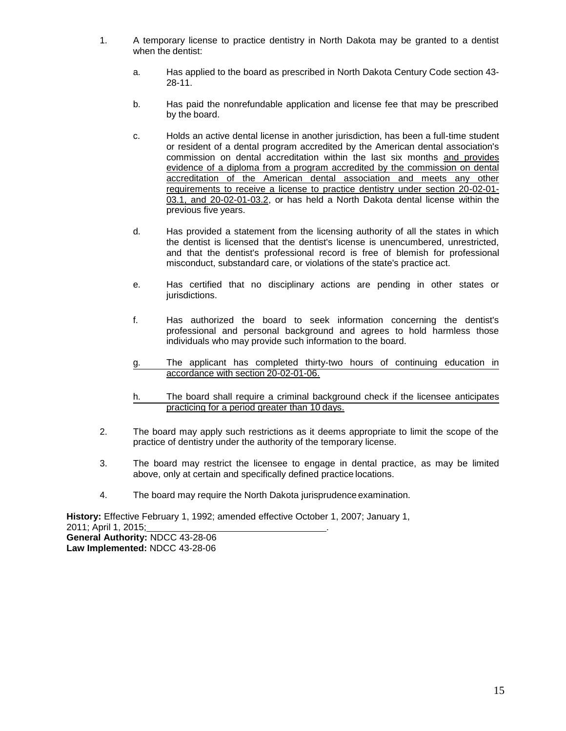- 1. A temporary license to practice dentistry in North Dakota may be granted to a dentist when the dentist:
	- a. Has applied to the board as prescribed in North Dakota Century Code section 43- 28-11.
	- b. Has paid the nonrefundable application and license fee that may be prescribed by the board.
	- c. Holds an active dental license in another jurisdiction, has been a full-time student or resident of a dental program accredited by the American dental association's commission on dental accreditation within the last six months and provides evidence of a diploma from a program accredited by the commission on dental accreditation of the American dental association and meets any other requirements to receive a license to practice dentistry under section 20-02-01- 03.1, and 20-02-01-03.2, or has held a North Dakota dental license within the previous five years.
	- d. Has provided a statement from the licensing authority of all the states in which the dentist is licensed that the dentist's license is unencumbered, unrestricted, and that the dentist's professional record is free of blemish for professional misconduct, substandard care, or violations of the state's practice act.
	- e. Has certified that no disciplinary actions are pending in other states or jurisdictions.
	- f. Has authorized the board to seek information concerning the dentist's professional and personal background and agrees to hold harmless those individuals who may provide such information to the board.
	- g. The applicant has completed thirty-two hours of continuing education in accordance with section 20-02-01-06.
	- h. The board shall require a criminal background check if the licensee anticipates practicing for a period greater than 10 days.
- 2. The board may apply such restrictions as it deems appropriate to limit the scope of the practice of dentistry under the authority of the temporary license.
- 3. The board may restrict the licensee to engage in dental practice, as may be limited above, only at certain and specifically defined practice locations.
- 4. The board may require the North Dakota jurisprudence examination.

**History:** Effective February 1, 1992; amended effective October 1, 2007; January 1, 2011; April 1, 2015; . **General Authority:** NDCC 43-28-06 **Law Implemented:** NDCC 43-28-06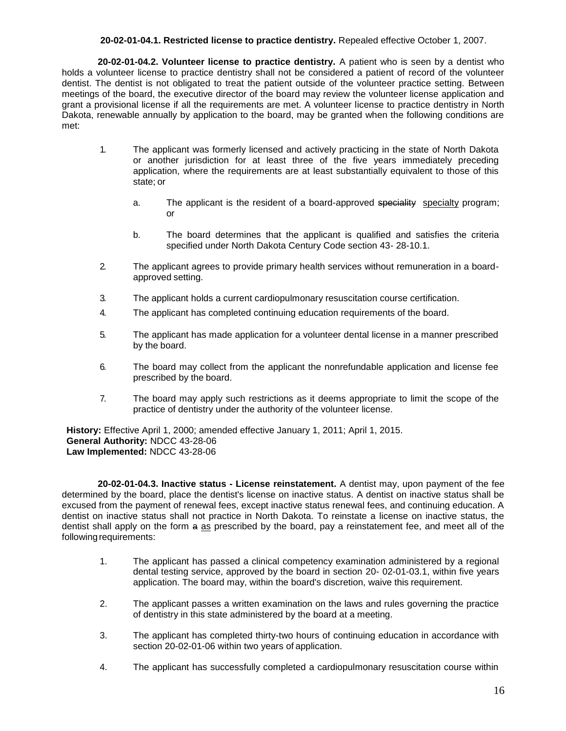### **20-02-01-04.1. Restricted license to practice dentistry.** Repealed effective October 1, 2007.

 **20-02-01-04.2. Volunteer license to practice dentistry.** A patient who is seen by a dentist who holds a volunteer license to practice dentistry shall not be considered a patient of record of the volunteer dentist. The dentist is not obligated to treat the patient outside of the volunteer practice setting. Between meetings of the board, the executive director of the board may review the volunteer license application and grant a provisional license if all the requirements are met. A volunteer license to practice dentistry in North Dakota, renewable annually by application to the board, may be granted when the following conditions are met:

- 1. The applicant was formerly licensed and actively practicing in the state of North Dakota or another jurisdiction for at least three of the five years immediately preceding application, where the requirements are at least substantially equivalent to those of this state; or
	- a. The applicant is the resident of a board-approved speciality specialty program; or
	- b. The board determines that the applicant is qualified and satisfies the criteria specified under North Dakota Century Code section 43- 28-10.1.
- 2. The applicant agrees to provide primary health services without remuneration in a boardapproved setting.
- 3. The applicant holds a current cardiopulmonary resuscitation course certification.
- 4. The applicant has completed continuing education requirements of the board.
- 5. The applicant has made application for a volunteer dental license in a manner prescribed by the board.
- 6. The board may collect from the applicant the nonrefundable application and license fee prescribed by the board.
- 7. The board may apply such restrictions as it deems appropriate to limit the scope of the practice of dentistry under the authority of the volunteer license.

**History:** Effective April 1, 2000; amended effective January 1, 2011; April 1, 2015. **General Authority:** NDCC 43-28-06 **Law Implemented:** NDCC 43-28-06

 **20-02-01-04.3. Inactive status - License reinstatement.** A dentist may, upon payment of the fee determined by the board, place the dentist's license on inactive status. A dentist on inactive status shall be excused from the payment of renewal fees, except inactive status renewal fees, and continuing education. A dentist on inactive status shall not practice in North Dakota. To reinstate a license on inactive status, the dentist shall apply on the form a as prescribed by the board, pay a reinstatement fee, and meet all of the following requirements:

- 1. The applicant has passed a clinical competency examination administered by a regional dental testing service, approved by the board in section 20- 02-01-03.1, within five years application. The board may, within the board's discretion, waive this requirement.
- 2. The applicant passes a written examination on the laws and rules governing the practice of dentistry in this state administered by the board at a meeting.
- 3. The applicant has completed thirty-two hours of continuing education in accordance with section 20-02-01-06 within two years of application.
- 4. The applicant has successfully completed a cardiopulmonary resuscitation course within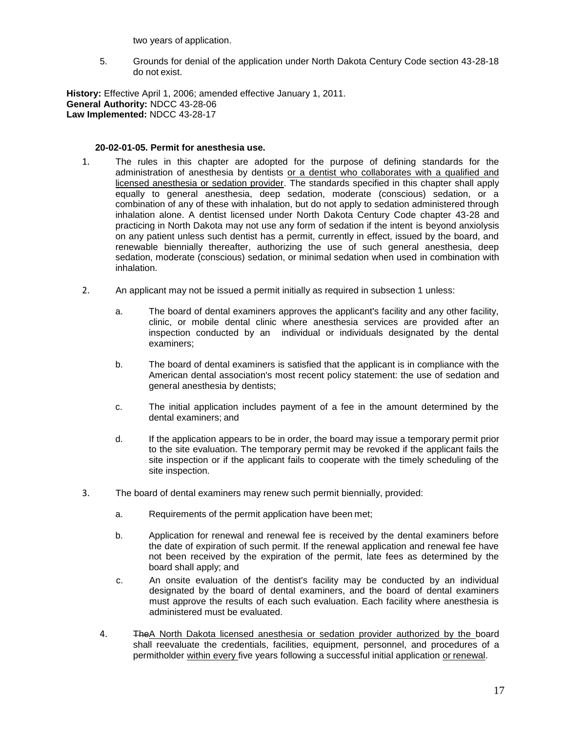two years of application.

5. Grounds for denial of the application under North Dakota Century Code section 43-28-18 do not exist.

**History:** Effective April 1, 2006; amended effective January 1, 2011. **General Authority:** NDCC 43-28-06 **Law Implemented:** NDCC 43-28-17

#### **20-02-01-05. Permit for anesthesia use.**

- 1. The rules in this chapter are adopted for the purpose of defining standards for the administration of anesthesia by dentists or a dentist who collaborates with a qualified and licensed anesthesia or sedation provider. The standards specified in this chapter shall apply equally to general anesthesia, deep sedation, moderate (conscious) sedation, or a combination of any of these with inhalation, but do not apply to sedation administered through inhalation alone. A dentist licensed under North Dakota Century Code chapter 43-28 and practicing in North Dakota may not use any form of sedation if the intent is beyond anxiolysis on any patient unless such dentist has a permit, currently in effect, issued by the board, and renewable biennially thereafter, authorizing the use of such general anesthesia, deep sedation, moderate (conscious) sedation, or minimal sedation when used in combination with inhalation.
- 2. An applicant may not be issued a permit initially as required in subsection 1 unless:
	- a. The board of dental examiners approves the applicant's facility and any other facility, clinic, or mobile dental clinic where anesthesia services are provided after an inspection conducted by an individual or individuals designated by the dental examiners;
	- b. The board of dental examiners is satisfied that the applicant is in compliance with the American dental association's most recent policy statement: the use of sedation and general anesthesia by dentists;
	- c. The initial application includes payment of a fee in the amount determined by the dental examiners; and
	- d. If the application appears to be in order, the board may issue a temporary permit prior to the site evaluation. The temporary permit may be revoked if the applicant fails the site inspection or if the applicant fails to cooperate with the timely scheduling of the site inspection.
- 3. The board of dental examiners may renew such permit biennially, provided:
	- a. Requirements of the permit application have been met;
	- b. Application for renewal and renewal fee is received by the dental examiners before the date of expiration of such permit. If the renewal application and renewal fee have not been received by the expiration of the permit, late fees as determined by the board shall apply; and
	- c. An onsite evaluation of the dentist's facility may be conducted by an individual designated by the board of dental examiners, and the board of dental examiners must approve the results of each such evaluation. Each facility where anesthesia is administered must be evaluated.
	- 4. The A North Dakota licensed anesthesia or sedation provider authorized by the board shall reevaluate the credentials, facilities, equipment, personnel, and procedures of a permitholder within every five years following a successful initial application or renewal.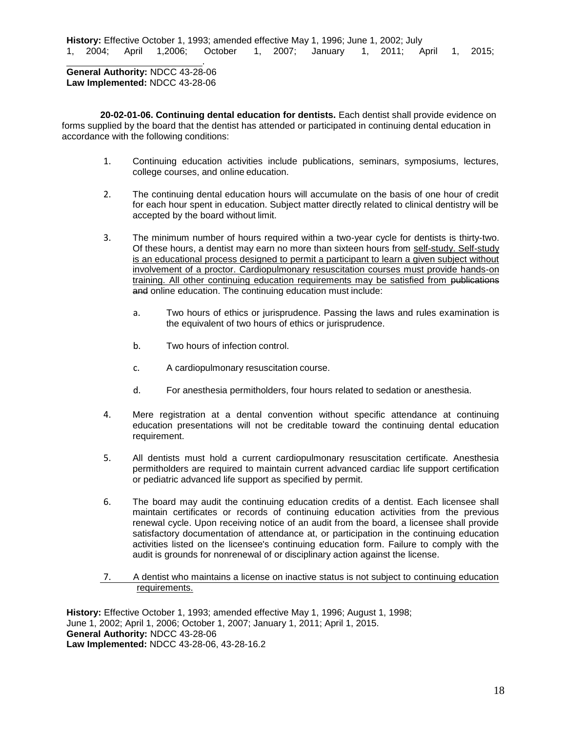**History:** Effective October 1, 1993; amended effective May 1, 1996; June 1, 2002; July 1, 2004; April 1,2006; October 1, 2007; January 1, 2011; April 1, 2015;

**General Authority:** NDCC 43-28-06 **Law Implemented:** NDCC 43-28-06

.

 **20-02-01-06. Continuing dental education for dentists.** Each dentist shall provide evidence on forms supplied by the board that the dentist has attended or participated in continuing dental education in accordance with the following conditions:

- 1. Continuing education activities include publications, seminars, symposiums, lectures, college courses, and online education.
- 2. The continuing dental education hours will accumulate on the basis of one hour of credit for each hour spent in education. Subject matter directly related to clinical dentistry will be accepted by the board without limit.
- 3. The minimum number of hours required within a two-year cycle for dentists is thirty-two. Of these hours, a dentist may earn no more than sixteen hours from self-study. Self-study is an educational process designed to permit a participant to learn a given subject without involvement of a proctor. Cardiopulmonary resuscitation courses must provide hands-on training. All other continuing education requirements may be satisfied from publications and online education. The continuing education must include:
	- a. Two hours of ethics or jurisprudence. Passing the laws and rules examination is the equivalent of two hours of ethics or jurisprudence.
	- b. Two hours of infection control.
	- c. A cardiopulmonary resuscitation course.
	- d. For anesthesia permitholders, four hours related to sedation or anesthesia.
- 4. Mere registration at a dental convention without specific attendance at continuing education presentations will not be creditable toward the continuing dental education requirement.
- 5. All dentists must hold a current cardiopulmonary resuscitation certificate. Anesthesia permitholders are required to maintain current advanced cardiac life support certification or pediatric advanced life support as specified by permit.
- 6. The board may audit the continuing education credits of a dentist. Each licensee shall maintain certificates or records of continuing education activities from the previous renewal cycle. Upon receiving notice of an audit from the board, a licensee shall provide satisfactory documentation of attendance at, or participation in the continuing education activities listed on the licensee's continuing education form. Failure to comply with the audit is grounds for nonrenewal of or disciplinary action against the license.
- 7. A dentist who maintains a license on inactive status is not subject to continuing education requirements.

**History:** Effective October 1, 1993; amended effective May 1, 1996; August 1, 1998; June 1, 2002; April 1, 2006; October 1, 2007; January 1, 2011; April 1, 2015. **General Authority:** NDCC 43-28-06 **Law Implemented:** NDCC 43-28-06, 43-28-16.2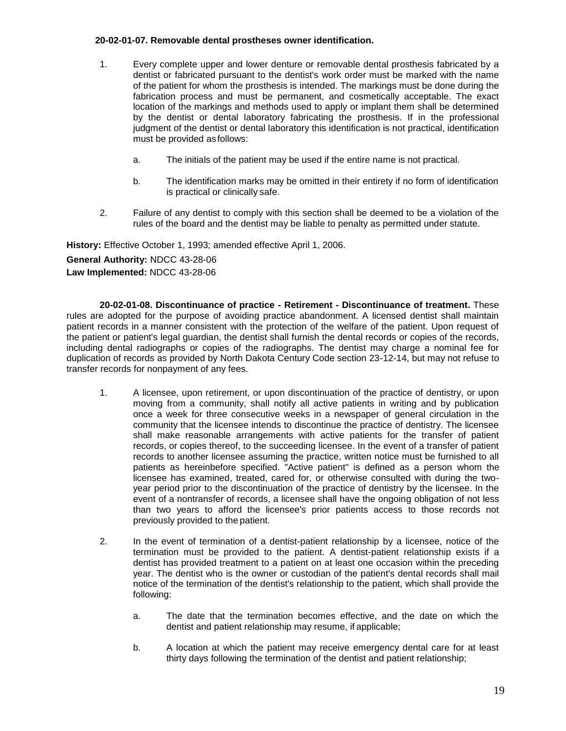### **20-02-01-07. Removable dental prostheses owner identification.**

- 1. Every complete upper and lower denture or removable dental prosthesis fabricated by a dentist or fabricated pursuant to the dentist's work order must be marked with the name of the patient for whom the prosthesis is intended. The markings must be done during the fabrication process and must be permanent, and cosmetically acceptable. The exact location of the markings and methods used to apply or implant them shall be determined by the dentist or dental laboratory fabricating the prosthesis. If in the professional judgment of the dentist or dental laboratory this identification is not practical, identification must be provided as follows:
	- a. The initials of the patient may be used if the entire name is not practical.
	- b. The identification marks may be omitted in their entirety if no form of identification is practical or clinically safe.
- 2. Failure of any dentist to comply with this section shall be deemed to be a violation of the rules of the board and the dentist may be liable to penalty as permitted under statute.

**History:** Effective October 1, 1993; amended effective April 1, 2006.

**General Authority:** NDCC 43-28-06 **Law Implemented:** NDCC 43-28-06

**20-02-01-08. Discontinuance of practice - Retirement - Discontinuance of treatment.** These rules are adopted for the purpose of avoiding practice abandonment. A licensed dentist shall maintain patient records in a manner consistent with the protection of the welfare of the patient. Upon request of the patient or patient's legal guardian, the dentist shall furnish the dental records or copies of the records, including dental radiographs or copies of the radiographs. The dentist may charge a nominal fee for duplication of records as provided by North Dakota Century Code section 23-12-14, but may not refuse to transfer records for nonpayment of any fees.

- 1. A licensee, upon retirement, or upon discontinuation of the practice of dentistry, or upon moving from a community, shall notify all active patients in writing and by publication once a week for three consecutive weeks in a newspaper of general circulation in the community that the licensee intends to discontinue the practice of dentistry. The licensee shall make reasonable arrangements with active patients for the transfer of patient records, or copies thereof, to the succeeding licensee. In the event of a transfer of patient records to another licensee assuming the practice, written notice must be furnished to all patients as hereinbefore specified. "Active patient" is defined as a person whom the licensee has examined, treated, cared for, or otherwise consulted with during the twoyear period prior to the discontinuation of the practice of dentistry by the licensee. In the event of a nontransfer of records, a licensee shall have the ongoing obligation of not less than two years to afford the licensee's prior patients access to those records not previously provided to the patient.
- 2. In the event of termination of a dentist-patient relationship by a licensee, notice of the termination must be provided to the patient. A dentist-patient relationship exists if a dentist has provided treatment to a patient on at least one occasion within the preceding year. The dentist who is the owner or custodian of the patient's dental records shall mail notice of the termination of the dentist's relationship to the patient, which shall provide the following:
	- a. The date that the termination becomes effective, and the date on which the dentist and patient relationship may resume, if applicable;
	- b. A location at which the patient may receive emergency dental care for at least thirty days following the termination of the dentist and patient relationship;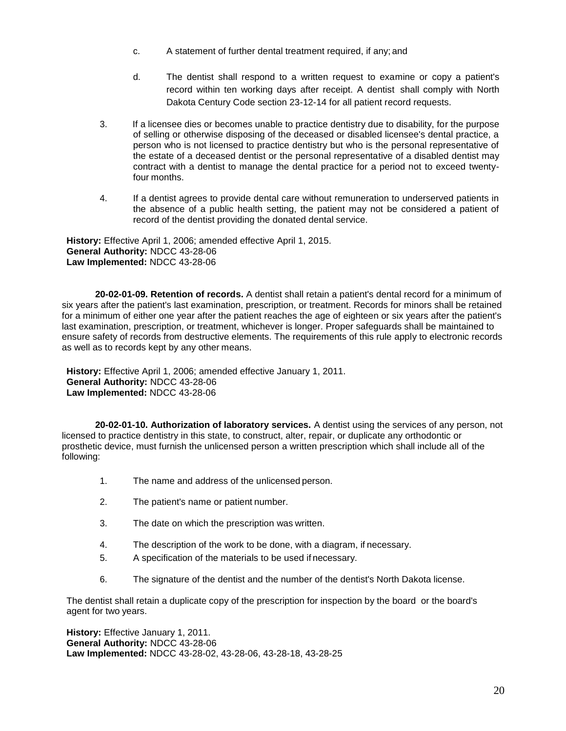- c. A statement of further dental treatment required, if any; and
- d. The dentist shall respond to a written request to examine or copy a patient's record within ten working days after receipt. A dentist shall comply with North Dakota Century Code section 23-12-14 for all patient record requests.
- 3. If a licensee dies or becomes unable to practice dentistry due to disability, for the purpose of selling or otherwise disposing of the deceased or disabled licensee's dental practice, a person who is not licensed to practice dentistry but who is the personal representative of the estate of a deceased dentist or the personal representative of a disabled dentist may contract with a dentist to manage the dental practice for a period not to exceed twentyfour months.
- 4. If a dentist agrees to provide dental care without remuneration to underserved patients in the absence of a public health setting, the patient may not be considered a patient of record of the dentist providing the donated dental service.

**History:** Effective April 1, 2006; amended effective April 1, 2015. **General Authority:** NDCC 43-28-06 **Law Implemented:** NDCC 43-28-06

**20-02-01-09. Retention of records.** A dentist shall retain a patient's dental record for a minimum of six years after the patient's last examination, prescription, or treatment. Records for minors shall be retained for a minimum of either one year after the patient reaches the age of eighteen or six years after the patient's last examination, prescription, or treatment, whichever is longer. Proper safeguards shall be maintained to ensure safety of records from destructive elements. The requirements of this rule apply to electronic records as well as to records kept by any other means.

**History:** Effective April 1, 2006; amended effective January 1, 2011. **General Authority:** NDCC 43-28-06 **Law Implemented:** NDCC 43-28-06

**20-02-01-10. Authorization of laboratory services.** A dentist using the services of any person, not licensed to practice dentistry in this state, to construct, alter, repair, or duplicate any orthodontic or prosthetic device, must furnish the unlicensed person a written prescription which shall include all of the following:

- 1. The name and address of the unlicensed person.
- 2. The patient's name or patient number.
- 3. The date on which the prescription was written.
- 4. The description of the work to be done, with a diagram, if necessary.
- 5. A specification of the materials to be used if necessary.
- 6. The signature of the dentist and the number of the dentist's North Dakota license.

The dentist shall retain a duplicate copy of the prescription for inspection by the board or the board's agent for two years.

**History:** Effective January 1, 2011. **General Authority:** NDCC 43-28-06 **Law Implemented:** NDCC 43-28-02, 43-28-06, 43-28-18, 43-28-25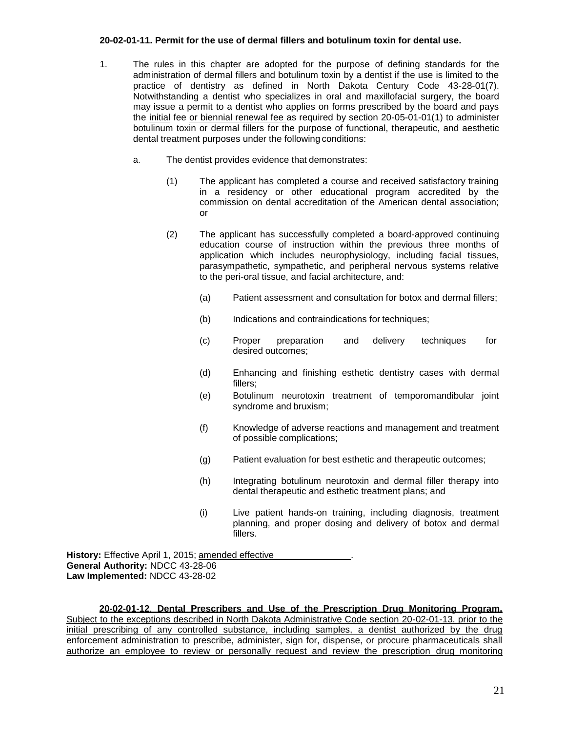### **20-02-01-11. Permit for the use of dermal fillers and botulinum toxin for dental use.**

- 1. The rules in this chapter are adopted for the purpose of defining standards for the administration of dermal fillers and botulinum toxin by a dentist if the use is limited to the practice of dentistry as defined in North Dakota Century Code 43-28-01(7). Notwithstanding a dentist who specializes in oral and maxillofacial surgery, the board may issue a permit to a dentist who applies on forms prescribed by the board and pays the initial fee or biennial renewal fee as required by section 20-05-01-01(1) to administer botulinum toxin or dermal fillers for the purpose of functional, therapeutic, and aesthetic dental treatment purposes under the following conditions:
	- a. The dentist provides evidence that demonstrates:
		- (1) The applicant has completed a course and received satisfactory training in a residency or other educational program accredited by the commission on dental accreditation of the American dental association; or
		- (2) The applicant has successfully completed a board-approved continuing education course of instruction within the previous three months of application which includes neurophysiology, including facial tissues, parasympathetic, sympathetic, and peripheral nervous systems relative to the peri-oral tissue, and facial architecture, and:
			- (a) Patient assessment and consultation for botox and dermal fillers;
			- (b) Indications and contraindications for techniques;
			- (c) Proper preparation and delivery techniques for desired outcomes;
			- (d) Enhancing and finishing esthetic dentistry cases with dermal fillers;
			- (e) Botulinum neurotoxin treatment of temporomandibular joint syndrome and bruxism;
			- (f) Knowledge of adverse reactions and management and treatment of possible complications;
			- (g) Patient evaluation for best esthetic and therapeutic outcomes;
			- (h) Integrating botulinum neurotoxin and dermal filler therapy into dental therapeutic and esthetic treatment plans; and
			- (i) Live patient hands-on training, including diagnosis, treatment planning, and proper dosing and delivery of botox and dermal fillers.

History: Effective April 1, 2015; amended effective **General Authority:** NDCC 43-28-06 **Law Implemented:** NDCC 43-28-02

**20-02-01-12**. **Dental Prescribers and Use of the Prescription Drug Monitoring Program.** Subject to the exceptions described in North Dakota Administrative Code section 20-02-01-13, prior to the initial prescribing of any controlled substance, including samples, a dentist authorized by the drug enforcement administration to prescribe, administer, sign for, dispense, or procure pharmaceuticals shall authorize an employee to review or personally request and review the prescription drug monitoring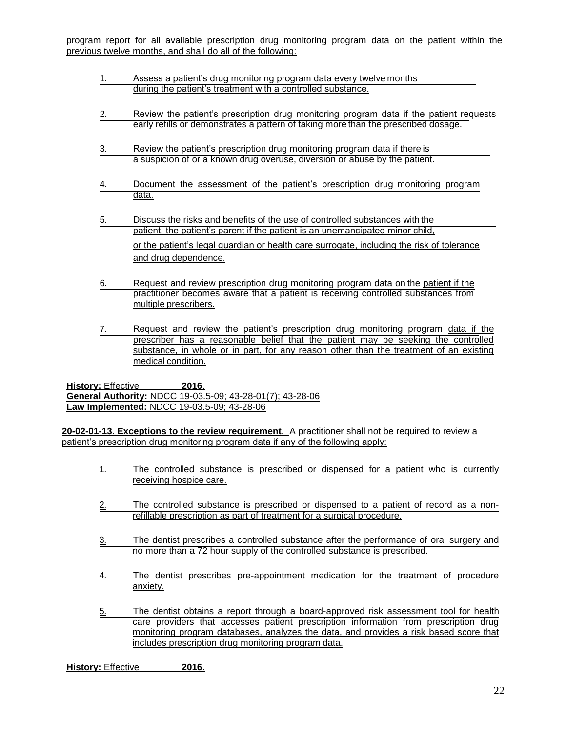- 1. Assess a patient's drug monitoring program data every twelve months during the patient's treatment with a controlled substance.
- 2. Review the patient's prescription drug monitoring program data if the patient requests early refills or demonstrates a pattern of taking more than the prescribed dosage.
- 3. Review the patient's prescription drug monitoring program data if there is a suspicion of or a known drug overuse, diversion or abuse by the patient.
- 4. Document the assessment of the patient's prescription drug monitoring program data.
- 5. Discuss the risks and benefits of the use of controlled substances with the patient, the patient's parent if the patient is an unemancipated minor child, or the patient's legal guardian or health care surrogate, including the risk of tolerance and drug dependence.
- 6. Request and review prescription drug monitoring program data on the patient if the practitioner becomes aware that a patient is receiving controlled substances from multiple prescribers.
- 7. Request and review the patient's prescription drug monitoring program data if the prescriber has a reasonable belief that the patient may be seeking the controlled substance, in whole or in part, for any reason other than the treatment of an existing medical condition.

**History:** Effective **2016**. **General Authority:** NDCC 19-03.5-09; 43-28-01(7); 43-28-06 **Law Implemented:** NDCC 19-03.5-09; 43-28-06

**20-02-01-13**. **Exceptions to the review requirement.** A practitioner shall not be required to review a patient's prescription drug monitoring program data if any of the following apply:

- 1. The controlled substance is prescribed or dispensed for a patient who is currently receiving hospice care.
- $2.$  The controlled substance is prescribed or dispensed to a patient of record as a nonrefillable prescription as part of treatment for a surgical procedure.
- 3. The dentist prescribes a controlled substance after the performance of oral surgery and no more than a 72 hour supply of the controlled substance is prescribed.
- 4. The dentist prescribes pre-appointment medication for the treatment of procedure anxiety.
- 5. The dentist obtains a report through a board-approved risk assessment tool for health care providers that accesses patient prescription information from prescription drug monitoring program databases, analyzes the data, and provides a risk based score that includes prescription drug monitoring program data.

**History:** Effective **2016**.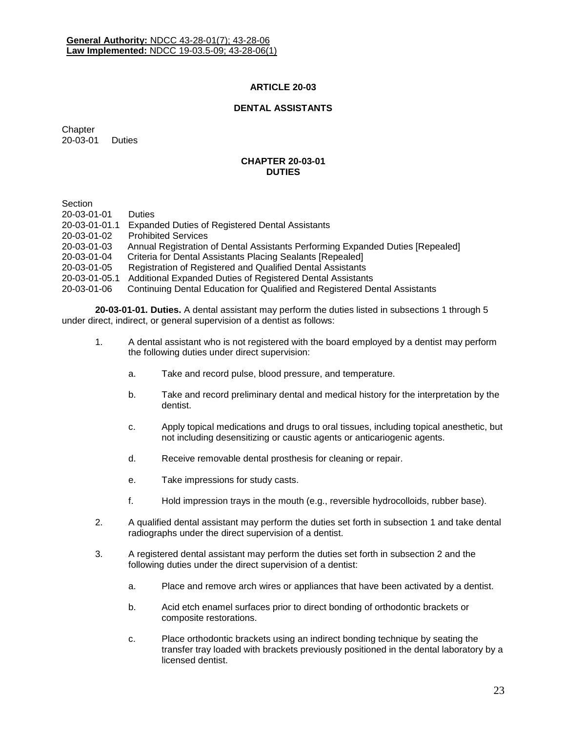## **ARTICLE 20-03**

## **DENTAL ASSISTANTS**

**Chapter** 20-03-01 Duties

#### **CHAPTER 20-03-01 DUTIES**

**Section** 

| -------       |                                                                                |
|---------------|--------------------------------------------------------------------------------|
| 20-03-01-01   | <b>Duties</b>                                                                  |
| 20-03-01-01.1 | <b>Expanded Duties of Registered Dental Assistants</b>                         |
| 20-03-01-02   | <b>Prohibited Services</b>                                                     |
| 20-03-01-03   | Annual Registration of Dental Assistants Performing Expanded Duties [Repealed] |
| 20-03-01-04   | Criteria for Dental Assistants Placing Sealants [Repealed]                     |
| 20-03-01-05   | Registration of Registered and Qualified Dental Assistants                     |
| 20-03-01-05.1 | Additional Expanded Duties of Registered Dental Assistants                     |
| 20-03-01-06   | Continuing Dental Education for Qualified and Registered Dental Assistants     |
|               |                                                                                |

**20-03-01-01. Duties.** A dental assistant may perform the duties listed in subsections 1 through 5 under direct, indirect, or general supervision of a dentist as follows:

- 1. A dental assistant who is not registered with the board employed by a dentist may perform the following duties under direct supervision:
	- a. Take and record pulse, blood pressure, and temperature.
	- b. Take and record preliminary dental and medical history for the interpretation by the dentist.
	- c. Apply topical medications and drugs to oral tissues, including topical anesthetic, but not including desensitizing or caustic agents or anticariogenic agents.
	- d. Receive removable dental prosthesis for cleaning or repair.
	- e. Take impressions for study casts.
	- f. Hold impression trays in the mouth (e.g., reversible hydrocolloids, rubber base).
- 2. A qualified dental assistant may perform the duties set forth in subsection 1 and take dental radiographs under the direct supervision of a dentist.
- 3. A registered dental assistant may perform the duties set forth in subsection 2 and the following duties under the direct supervision of a dentist:
	- a. Place and remove arch wires or appliances that have been activated by a dentist.
	- b. Acid etch enamel surfaces prior to direct bonding of orthodontic brackets or composite restorations.
	- c. Place orthodontic brackets using an indirect bonding technique by seating the transfer tray loaded with brackets previously positioned in the dental laboratory by a licensed dentist.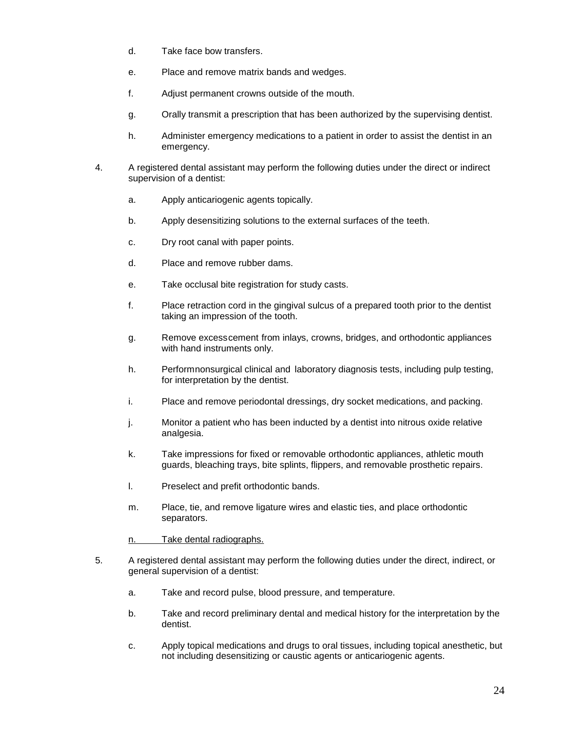- d. Take face bow transfers.
- e. Place and remove matrix bands and wedges.
- f. Adjust permanent crowns outside of the mouth.
- g. Orally transmit a prescription that has been authorized by the supervising dentist.
- h. Administer emergency medications to a patient in order to assist the dentist in an emergency.
- 4. A registered dental assistant may perform the following duties under the direct or indirect supervision of a dentist:
	- a. Apply anticariogenic agents topically.
	- b. Apply desensitizing solutions to the external surfaces of the teeth.
	- c. Dry root canal with paper points.
	- d. Place and remove rubber dams.
	- e. Take occlusal bite registration for study casts.
	- f. Place retraction cord in the gingival sulcus of a prepared tooth prior to the dentist taking an impression of the tooth.
	- g. Remove excesscement from inlays, crowns, bridges, and orthodontic appliances with hand instruments only.
	- h. Performnonsurgical clinical and laboratory diagnosis tests, including pulp testing, for interpretation by the dentist.
	- i. Place and remove periodontal dressings, dry socket medications, and packing.
	- j. Monitor a patient who has been inducted by a dentist into nitrous oxide relative analgesia.
	- k. Take impressions for fixed or removable orthodontic appliances, athletic mouth guards, bleaching trays, bite splints, flippers, and removable prosthetic repairs.
	- l. Preselect and prefit orthodontic bands.
	- m. Place, tie, and remove ligature wires and elastic ties, and place orthodontic separators.

n. Take dental radiographs.

- 5. A registered dental assistant may perform the following duties under the direct, indirect, or general supervision of a dentist:
	- a. Take and record pulse, blood pressure, and temperature.
	- b. Take and record preliminary dental and medical history for the interpretation by the dentist.
	- c. Apply topical medications and drugs to oral tissues, including topical anesthetic, but not including desensitizing or caustic agents or anticariogenic agents.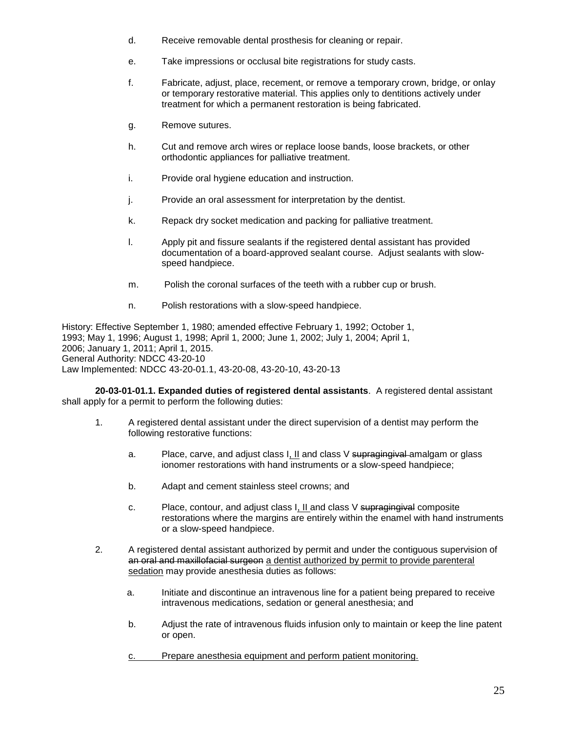- d. Receive removable dental prosthesis for cleaning or repair.
- e. Take impressions or occlusal bite registrations for study casts.
- f. Fabricate, adjust, place, recement, or remove a temporary crown, bridge, or onlay or temporary restorative material. This applies only to dentitions actively under treatment for which a permanent restoration is being fabricated.
- g. Remove sutures.
- h. Cut and remove arch wires or replace loose bands, loose brackets, or other orthodontic appliances for palliative treatment.
- i. Provide oral hygiene education and instruction.
- j. Provide an oral assessment for interpretation by the dentist.
- k. Repack dry socket medication and packing for palliative treatment.
- l. Apply pit and fissure sealants if the registered dental assistant has provided documentation of a board-approved sealant course. Adjust sealants with slowspeed handpiece.
- m. Polish the coronal surfaces of the teeth with a rubber cup or brush.
- n. Polish restorations with a slow-speed handpiece.

History: Effective September 1, 1980; amended effective February 1, 1992; October 1, 1993; May 1, 1996; August 1, 1998; April 1, 2000; June 1, 2002; July 1, 2004; April 1, 2006; January 1, 2011; April 1, 2015. General Authority: NDCC 43-20-10 Law Implemented: NDCC 43-20-01.1, 43-20-08, 43-20-10, 43-20-13

**20-03-01-01.1. Expanded duties of registered dental assistants**. A registered dental assistant shall apply for a permit to perform the following duties:

- 1. A registered dental assistant under the direct supervision of a dentist may perform the following restorative functions:
	- a. Place, carve, and adjust class I, II and class V supragingival amalgam or glass ionomer restorations with hand instruments or a slow-speed handpiece;
	- b. Adapt and cement stainless steel crowns; and
	- c. Place, contour, and adjust class I, II and class V supragingival composite restorations where the margins are entirely within the enamel with hand instruments or a slow-speed handpiece.
- 2. A registered dental assistant authorized by permit and under the contiguous supervision of an oral and maxillofacial surgeon a dentist authorized by permit to provide parenteral sedation may provide anesthesia duties as follows:
	- a. Initiate and discontinue an intravenous line for a patient being prepared to receive intravenous medications, sedation or general anesthesia; and
	- b. Adjust the rate of intravenous fluids infusion only to maintain or keep the line patent or open.
	- c. Prepare anesthesia equipment and perform patient monitoring.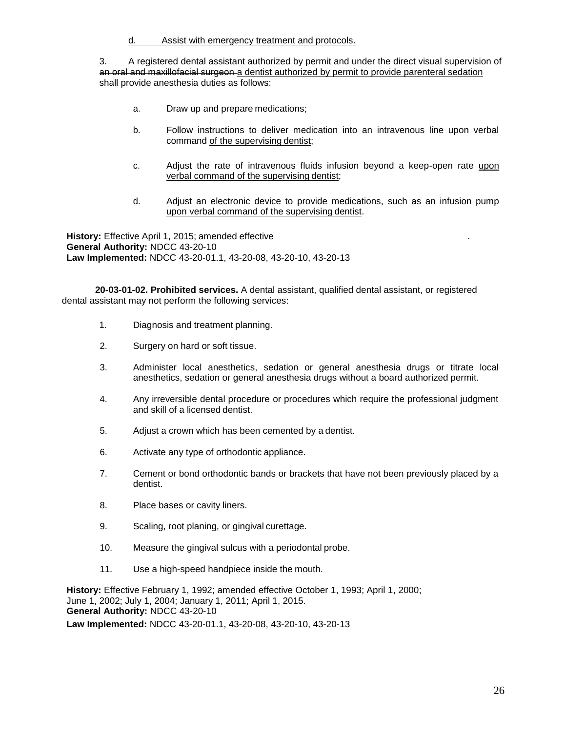d. Assist with emergency treatment and protocols.

3. A registered dental assistant authorized by permit and under the direct visual supervision of an oral and maxillofacial surgeon a dentist authorized by permit to provide parenteral sedation shall provide anesthesia duties as follows:

- a. Draw up and prepare medications;
- b. Follow instructions to deliver medication into an intravenous line upon verbal command of the supervising dentist;
- c. Adjust the rate of intravenous fluids infusion beyond a keep-open rate upon verbal command of the supervising dentist;
- d. Adjust an electronic device to provide medications, such as an infusion pump upon verbal command of the supervising dentist.

**History:** Effective April 1, 2015; amended effective . **General Authority:** NDCC 43-20-10 **Law Implemented:** NDCC 43-20-01.1, 43-20-08, 43-20-10, 43-20-13

**20-03-01-02. Prohibited services.** A dental assistant, qualified dental assistant, or registered dental assistant may not perform the following services:

- 1. Diagnosis and treatment planning.
- 2. Surgery on hard or soft tissue.
- 3. Administer local anesthetics, sedation or general anesthesia drugs or titrate local anesthetics, sedation or general anesthesia drugs without a board authorized permit.
- 4. Any irreversible dental procedure or procedures which require the professional judgment and skill of a licensed dentist.
- 5. Adjust a crown which has been cemented by a dentist.
- 6. Activate any type of orthodontic appliance.
- 7. Cement or bond orthodontic bands or brackets that have not been previously placed by a dentist.
- 8. Place bases or cavity liners.
- 9. Scaling, root planing, or gingival curettage.
- 10. Measure the gingival sulcus with a periodontal probe.
- 11. Use a high-speed handpiece inside the mouth.

**History:** Effective February 1, 1992; amended effective October 1, 1993; April 1, 2000; June 1, 2002; July 1, 2004; January 1, 2011; April 1, 2015. **General Authority:** NDCC 43-20-10 **Law Implemented:** NDCC 43-20-01.1, 43-20-08, 43-20-10, 43-20-13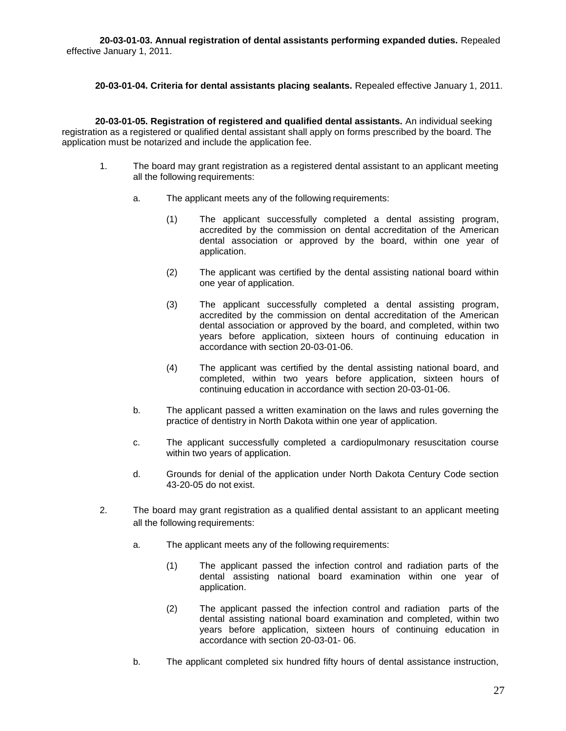**20-03-01-03. Annual registration of dental assistants performing expanded duties.** Repealed effective January 1, 2011.

**20-03-01-04. Criteria for dental assistants placing sealants.** Repealed effective January 1, 2011.

**20-03-01-05. Registration of registered and qualified dental assistants.** An individual seeking registration as a registered or qualified dental assistant shall apply on forms prescribed by the board. The application must be notarized and include the application fee.

- 1. The board may grant registration as a registered dental assistant to an applicant meeting all the following requirements:
	- a. The applicant meets any of the following requirements:
		- (1) The applicant successfully completed a dental assisting program, accredited by the commission on dental accreditation of the American dental association or approved by the board, within one year of application.
		- (2) The applicant was certified by the dental assisting national board within one year of application.
		- (3) The applicant successfully completed a dental assisting program, accredited by the commission on dental accreditation of the American dental association or approved by the board, and completed, within two years before application, sixteen hours of continuing education in accordance with section 20-03-01-06.
		- (4) The applicant was certified by the dental assisting national board, and completed, within two years before application, sixteen hours of continuing education in accordance with section 20-03-01-06.
	- b. The applicant passed a written examination on the laws and rules governing the practice of dentistry in North Dakota within one year of application.
	- c. The applicant successfully completed a cardiopulmonary resuscitation course within two years of application.
	- d. Grounds for denial of the application under North Dakota Century Code section 43-20-05 do not exist.
- 2. The board may grant registration as a qualified dental assistant to an applicant meeting all the following requirements:
	- a. The applicant meets any of the following requirements:
		- (1) The applicant passed the infection control and radiation parts of the dental assisting national board examination within one year of application.
		- (2) The applicant passed the infection control and radiation parts of the dental assisting national board examination and completed, within two years before application, sixteen hours of continuing education in accordance with section 20-03-01- 06.
	- b. The applicant completed six hundred fifty hours of dental assistance instruction,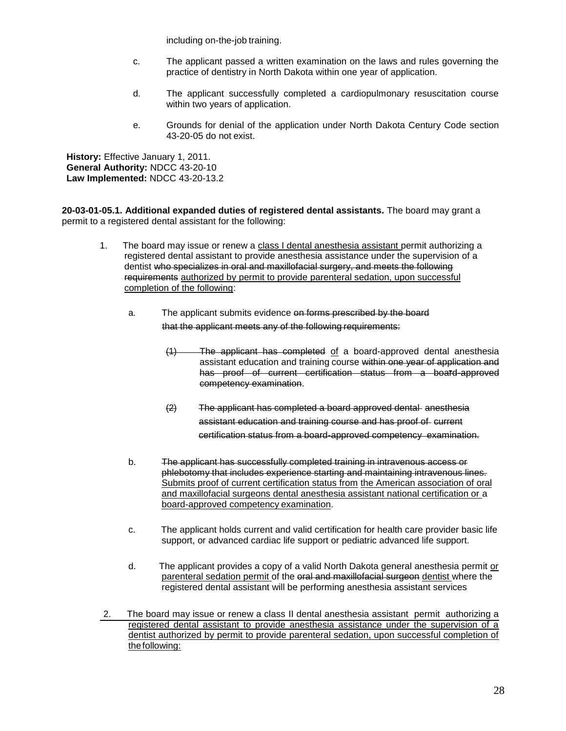including on-the-job training.

- c. The applicant passed a written examination on the laws and rules governing the practice of dentistry in North Dakota within one year of application.
- d. The applicant successfully completed a cardiopulmonary resuscitation course within two years of application.
- e. Grounds for denial of the application under North Dakota Century Code section 43-20-05 do not exist.

**History:** Effective January 1, 2011. **General Authority:** NDCC 43-20-10 **Law Implemented:** NDCC 43-20-13.2

**20-03-01-05.1. Additional expanded duties of registered dental assistants.** The board may grant a permit to a registered dental assistant for the following:

- 1. The board may issue or renew a class I dental anesthesia assistant permit authorizing a registered dental assistant to provide anesthesia assistance under the supervision of a dentist who specializes in oral and maxillofacial surgery, and meets the following requirements authorized by permit to provide parenteral sedation, upon successful completion of the following:
	- a. The applicant submits evidence on forms prescribed by the board that the applicant meets any of the following requirements:
		- (1) The applicant has completed of a board-approved dental anesthesia assistant education and training course within one year of application and has proof of current certification status from a board-approved competency examination.
		- (2) The applicant has completed a board approved dental anesthesia assistant education and training course and has proof of current certification status from a board-approved competency examination.
	- b. The applicant has successfully completed training in intravenous access or phlebotomy that includes experience starting and maintaining intravenous lines. Submits proof of current certification status from the American association of oral and maxillofacial surgeons dental anesthesia assistant national certification or a board-approved competency examination.
	- c. The applicant holds current and valid certification for health care provider basic life support, or advanced cardiac life support or pediatric advanced life support.
	- d. The applicant provides a copy of a valid North Dakota general anesthesia permit or parenteral sedation permit of the oral and maxillofacial surgeon dentist where the registered dental assistant will be performing anesthesia assistant services
- 2. The board may issue or renew a class II dental anesthesia assistant permit authorizing a registered dental assistant to provide anesthesia assistance under the supervision of a dentist authorized by permit to provide parenteral sedation, upon successful completion of thefollowing: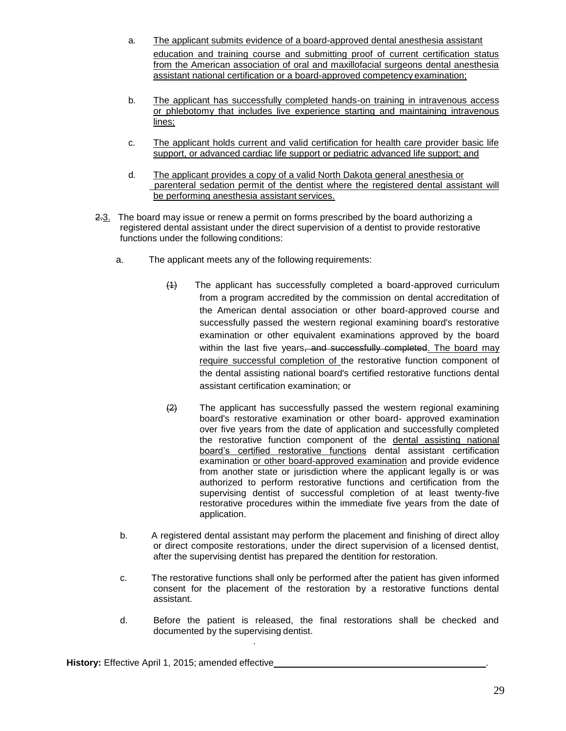- a. The applicant submits evidence of a board-approved dental anesthesia assistant education and training course and submitting proof of current certification status from the American association of oral and maxillofacial surgeons dental anesthesia assistant national certification or a board-approved competency examination;
- b. The applicant has successfully completed hands-on training in intravenous access or phlebotomy that includes live experience starting and maintaining intravenous lines;
- c. The applicant holds current and valid certification for health care provider basic life support, or advanced cardiac life support or pediatric advanced life support; and
- d. The applicant provides a copy of a valid North Dakota general anesthesia or parenteral sedation permit of the dentist where the registered dental assistant will be performing anesthesia assistant services.
- 2.3. The board may issue or renew a permit on forms prescribed by the board authorizing a registered dental assistant under the direct supervision of a dentist to provide restorative functions under the following conditions:
	- a. The applicant meets any of the following requirements:
		- (1) The applicant has successfully completed a board-approved curriculum from a program accredited by the commission on dental accreditation of the American dental association or other board-approved course and successfully passed the western regional examining board's restorative examination or other equivalent examinations approved by the board within the last five years, and successfully completed. The board may require successful completion of the restorative function component of the dental assisting national board's certified restorative functions dental assistant certification examination; or
		- $\left( \frac{2}{2} \right)$  The applicant has successfully passed the western regional examining board's restorative examination or other board- approved examination over five years from the date of application and successfully completed the restorative function component of the dental assisting national board's certified restorative functions dental assistant certification examination or other board-approved examination and provide evidence from another state or jurisdiction where the applicant legally is or was authorized to perform restorative functions and certification from the supervising dentist of successful completion of at least twenty-five restorative procedures within the immediate five years from the date of application.
	- b. A registered dental assistant may perform the placement and finishing of direct alloy or direct composite restorations, under the direct supervision of a licensed dentist, after the supervising dentist has prepared the dentition for restoration.
	- c. The restorative functions shall only be performed after the patient has given informed consent for the placement of the restoration by a restorative functions dental assistant.
	- d. Before the patient is released, the final restorations shall be checked and documented by the supervising dentist.

.

**History:** Effective April 1, 2015; amended effective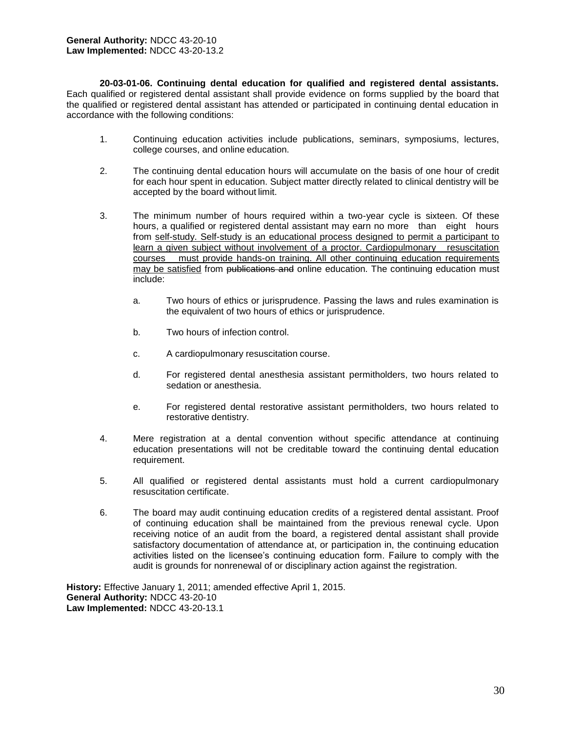**20-03-01-06. Continuing dental education for qualified and registered dental assistants.** Each qualified or registered dental assistant shall provide evidence on forms supplied by the board that the qualified or registered dental assistant has attended or participated in continuing dental education in accordance with the following conditions:

- 1. Continuing education activities include publications, seminars, symposiums, lectures, college courses, and online education.
- 2. The continuing dental education hours will accumulate on the basis of one hour of credit for each hour spent in education. Subject matter directly related to clinical dentistry will be accepted by the board without limit.
- 3. The minimum number of hours required within a two-year cycle is sixteen. Of these hours, a qualified or registered dental assistant may earn no more than eight hours from self-study. Self-study is an educational process designed to permit a participant to learn a given subject without involvement of a proctor. Cardiopulmonary resuscitation courses must provide hands-on training. All other continuing education requirements may be satisfied from publications and online education. The continuing education must include:
	- a. Two hours of ethics or jurisprudence. Passing the laws and rules examination is the equivalent of two hours of ethics or jurisprudence.
	- b. Two hours of infection control.
	- c. A cardiopulmonary resuscitation course.
	- d. For registered dental anesthesia assistant permitholders, two hours related to sedation or anesthesia.
	- e. For registered dental restorative assistant permitholders, two hours related to restorative dentistry.
- 4. Mere registration at a dental convention without specific attendance at continuing education presentations will not be creditable toward the continuing dental education requirement.
- 5. All qualified or registered dental assistants must hold a current cardiopulmonary resuscitation certificate.
- 6. The board may audit continuing education credits of a registered dental assistant. Proof of continuing education shall be maintained from the previous renewal cycle. Upon receiving notice of an audit from the board, a registered dental assistant shall provide satisfactory documentation of attendance at, or participation in, the continuing education activities listed on the licensee's continuing education form. Failure to comply with the audit is grounds for nonrenewal of or disciplinary action against the registration.

**History:** Effective January 1, 2011; amended effective April 1, 2015. **General Authority:** NDCC 43-20-10 **Law Implemented:** NDCC 43-20-13.1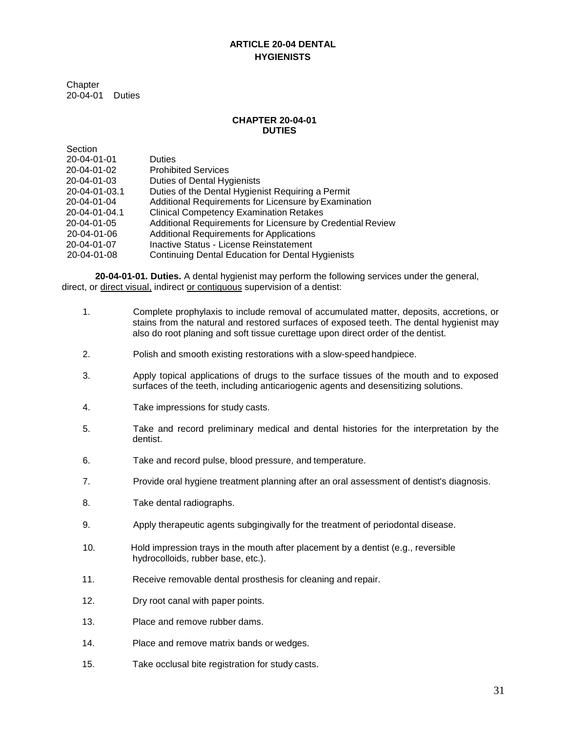## **ARTICLE 20-04 DENTAL HYGIENISTS**

**Chapter** 20-04-01 Duties

#### **CHAPTER 20-04-01 DUTIES**

| Section             |                                                            |
|---------------------|------------------------------------------------------------|
| 20-04-01-01         | <b>Duties</b>                                              |
| 20-04-01-02         | <b>Prohibited Services</b>                                 |
| $20 - 04 - 01 - 03$ | Duties of Dental Hygienists                                |
| 20-04-01-03.1       | Duties of the Dental Hygienist Requiring a Permit          |
| 20-04-01-04         | Additional Requirements for Licensure by Examination       |
| 20-04-01-04.1       | <b>Clinical Competency Examination Retakes</b>             |
| 20-04-01-05         | Additional Requirements for Licensure by Credential Review |
| 20-04-01-06         | <b>Additional Requirements for Applications</b>            |
| 20-04-01-07         | Inactive Status - License Reinstatement                    |
| 20-04-01-08         | <b>Continuing Dental Education for Dental Hygienists</b>   |

**20-04-01-01. Duties.** A dental hygienist may perform the following services under the general, direct, or direct visual, indirect or contiguous supervision of a dentist:

- 1. Complete prophylaxis to include removal of accumulated matter, deposits, accretions, or stains from the natural and restored surfaces of exposed teeth. The dental hygienist may also do root planing and soft tissue curettage upon direct order of the dentist.
- 2. Polish and smooth existing restorations with a slow-speed handpiece.
- 3. Apply topical applications of drugs to the surface tissues of the mouth and to exposed surfaces of the teeth, including anticariogenic agents and desensitizing solutions.
- 4. Take impressions for study casts.
- 5. Take and record preliminary medical and dental histories for the interpretation by the dentist.
- 6. Take and record pulse, blood pressure, and temperature.
- 7. Provide oral hygiene treatment planning after an oral assessment of dentist's diagnosis.
- 8. Take dental radiographs.
- 9. Apply therapeutic agents subgingivally for the treatment of periodontal disease.
- 10. Hold impression trays in the mouth after placement by a dentist (e.g., reversible hydrocolloids, rubber base, etc.).
- 11. Receive removable dental prosthesis for cleaning and repair.
- 12. Dry root canal with paper points.
- 13. Place and remove rubber dams.
- 14. Place and remove matrix bands or wedges.
- 15. Take occlusal bite registration for study casts.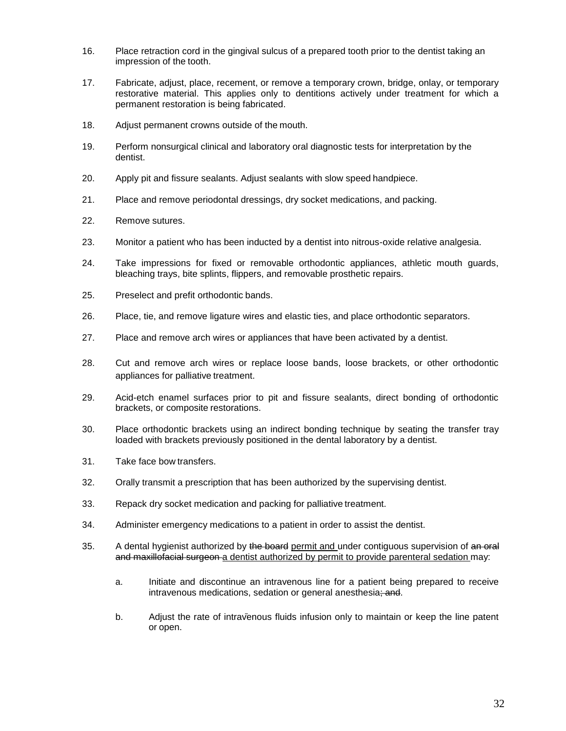- 16. Place retraction cord in the gingival sulcus of a prepared tooth prior to the dentist taking an impression of the tooth.
- 17. Fabricate, adjust, place, recement, or remove a temporary crown, bridge, onlay, or temporary restorative material. This applies only to dentitions actively under treatment for which a permanent restoration is being fabricated.
- 18. Adjust permanent crowns outside of the mouth.
- 19. Perform nonsurgical clinical and laboratory oral diagnostic tests for interpretation by the dentist.
- 20. Apply pit and fissure sealants. Adjust sealants with slow speed handpiece.
- 21. Place and remove periodontal dressings, dry socket medications, and packing.
- 22. Remove sutures.
- 23. Monitor a patient who has been inducted by a dentist into nitrous-oxide relative analgesia.
- 24. Take impressions for fixed or removable orthodontic appliances, athletic mouth guards, bleaching trays, bite splints, flippers, and removable prosthetic repairs.
- 25. Preselect and prefit orthodontic bands.
- 26. Place, tie, and remove ligature wires and elastic ties, and place orthodontic separators.
- 27. Place and remove arch wires or appliances that have been activated by a dentist.
- 28. Cut and remove arch wires or replace loose bands, loose brackets, or other orthodontic appliances for palliative treatment.
- 29. Acid-etch enamel surfaces prior to pit and fissure sealants, direct bonding of orthodontic brackets, or composite restorations.
- 30. Place orthodontic brackets using an indirect bonding technique by seating the transfer tray loaded with brackets previously positioned in the dental laboratory by a dentist.
- 31. Take face bow transfers.
- 32. Orally transmit a prescription that has been authorized by the supervising dentist.
- 33. Repack dry socket medication and packing for palliative treatment.
- 34. Administer emergency medications to a patient in order to assist the dentist.
- 35. A dental hygienist authorized by the board permit and under contiguous supervision of an oral and maxillofacial surgeon a dentist authorized by permit to provide parenteral sedation may:
	- a. Initiate and discontinue an intravenous line for a patient being prepared to receive intravenous medications, sedation or general anesthesia; and.
	- b. Adjust the rate of intravenous fluids infusion only to maintain or keep the line patent or open.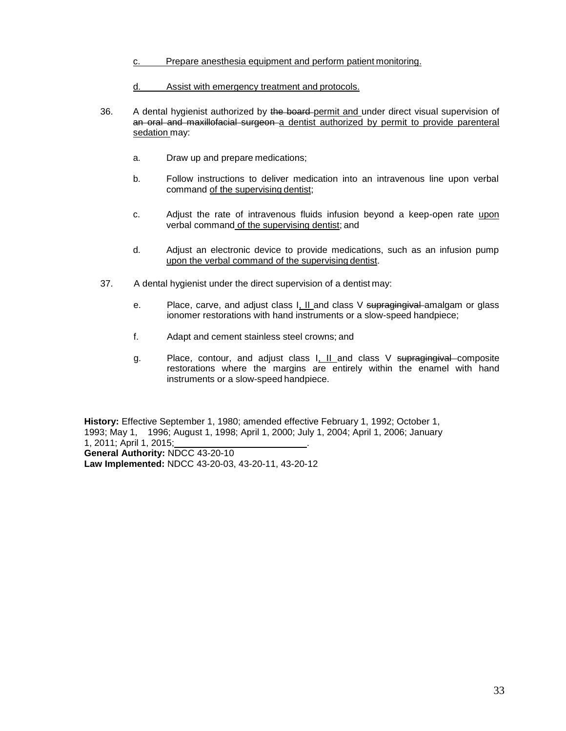- c. Prepare anesthesia equipment and perform patient monitoring.
- d. Assist with emergency treatment and protocols.
- 36. A dental hygienist authorized by the board-permit and under direct visual supervision of an oral and maxillofacial surgeon a dentist authorized by permit to provide parenteral sedation may:
	- a. Draw up and prepare medications;
	- b. Follow instructions to deliver medication into an intravenous line upon verbal command of the supervising dentist;
	- c. Adjust the rate of intravenous fluids infusion beyond a keep-open rate upon verbal command of the supervising dentist; and
	- d. Adjust an electronic device to provide medications, such as an infusion pump upon the verbal command of the supervising dentist.
- 37. A dental hygienist under the direct supervision of a dentist may:
	- e. Place, carve, and adjust class  $I, II$  and class V supragingival amalgam or glass ionomer restorations with hand instruments or a slow-speed handpiece;
	- f. Adapt and cement stainless steel crowns; and
	- g. Place, contour, and adjust class I, II and class V supragingival composite restorations where the margins are entirely within the enamel with hand instruments or a slow-speed handpiece.

**History:** Effective September 1, 1980; amended effective February 1, 1992; October 1, 1993; May 1, 1996; August 1, 1998; April 1, 2000; July 1, 2004; April 1, 2006; January 1, 2011; April 1, 2015; . **General Authority:** NDCC 43-20-10

**Law Implemented:** NDCC 43-20-03, 43-20-11, 43-20-12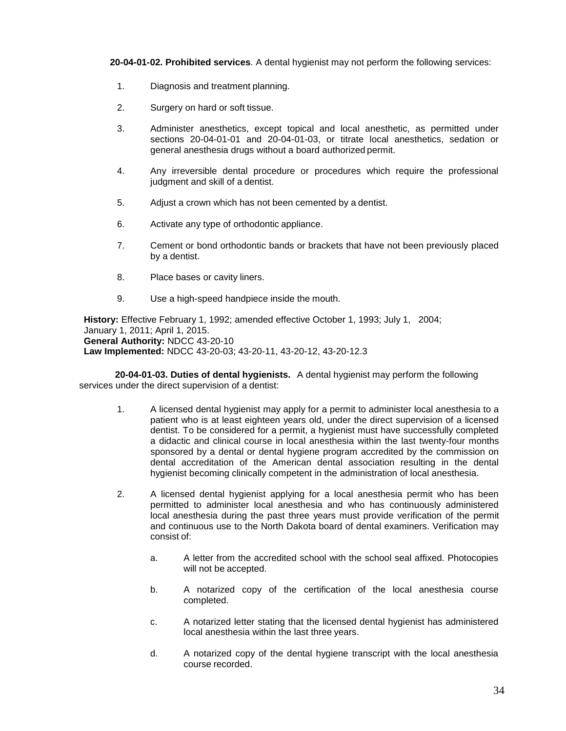**20-04-01-02. Prohibited services**. A dental hygienist may not perform the following services:

- 1. Diagnosis and treatment planning.
- 2. Surgery on hard or soft tissue.
- 3. Administer anesthetics, except topical and local anesthetic, as permitted under sections 20-04-01-01 and 20-04-01-03, or titrate local anesthetics, sedation or general anesthesia drugs without a board authorized permit.
- 4. Any irreversible dental procedure or procedures which require the professional judgment and skill of a dentist.
- 5. Adjust a crown which has not been cemented by a dentist.
- 6. Activate any type of orthodontic appliance.
- 7. Cement or bond orthodontic bands or brackets that have not been previously placed by a dentist.
- 8. Place bases or cavity liners.
- 9. Use a high-speed handpiece inside the mouth.

**History:** Effective February 1, 1992; amended effective October 1, 1993; July 1, 2004; January 1, 2011; April 1, 2015. **General Authority:** NDCC 43-20-10 **Law Implemented:** NDCC 43-20-03; 43-20-11, 43-20-12, 43-20-12.3

 **20-04-01-03. Duties of dental hygienists.** A dental hygienist may perform the following services under the direct supervision of a dentist:

- 1. A licensed dental hygienist may apply for a permit to administer local anesthesia to a patient who is at least eighteen years old, under the direct supervision of a licensed dentist. To be considered for a permit, a hygienist must have successfully completed a didactic and clinical course in local anesthesia within the last twenty-four months sponsored by a dental or dental hygiene program accredited by the commission on dental accreditation of the American dental association resulting in the dental hygienist becoming clinically competent in the administration of local anesthesia.
- 2. A licensed dental hygienist applying for a local anesthesia permit who has been permitted to administer local anesthesia and who has continuously administered local anesthesia during the past three years must provide verification of the permit and continuous use to the North Dakota board of dental examiners. Verification may consist of:
	- a. A letter from the accredited school with the school seal affixed. Photocopies will not be accepted.
	- b. A notarized copy of the certification of the local anesthesia course completed.
	- c. A notarized letter stating that the licensed dental hygienist has administered local anesthesia within the last three years.
	- d. A notarized copy of the dental hygiene transcript with the local anesthesia course recorded.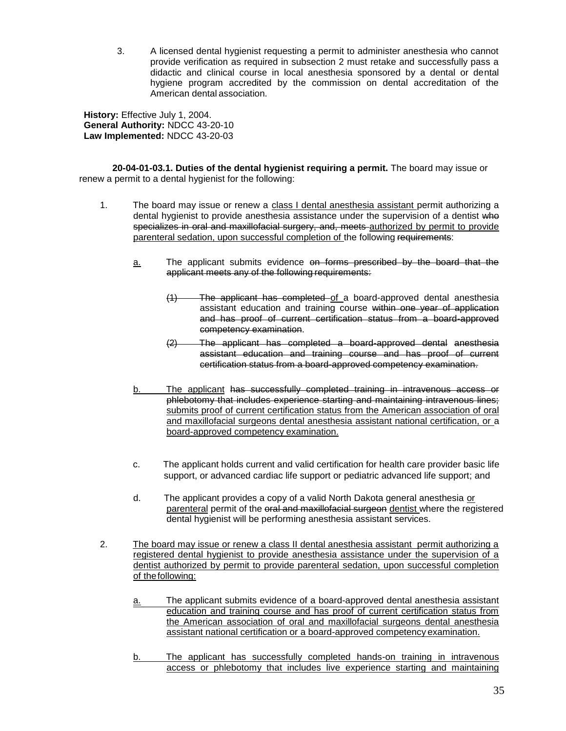3. A licensed dental hygienist requesting a permit to administer anesthesia who cannot provide verification as required in subsection 2 must retake and successfully pass a didactic and clinical course in local anesthesia sponsored by a dental or dental hygiene program accredited by the commission on dental accreditation of the American dental association.

**History:** Effective July 1, 2004. **General Authority:** NDCC 43-20-10 **Law Implemented:** NDCC 43-20-03

**20-04-01-03.1. Duties of the dental hygienist requiring a permit.** The board may issue or renew a permit to a dental hygienist for the following:

- 1. The board may issue or renew a class I dental anesthesia assistant permit authorizing a dental hygienist to provide anesthesia assistance under the supervision of a dentist who specializes in oral and maxillofacial surgery, and, meets authorized by permit to provide parenteral sedation, upon successful completion of the following requirements:
	- a. The applicant submits evidence on forms prescribed by the board that the applicant meets any of the following requirements:
		- (1) The applicant has completed of a board-approved dental anesthesia assistant education and training course within one year of application and has proof of current certification status from a board-approved competency examination.
		- (2) The applicant has completed a board-approved dental anesthesia assistant education and training course and has proof of current certification status from a board-approved competency examination.
	- b. The applicant has successfully completed training in intravenous access or phlebotomy that includes experience starting and maintaining intravenous lines; submits proof of current certification status from the American association of oral and maxillofacial surgeons dental anesthesia assistant national certification, or a board-approved competency examination.
	- c. The applicant holds current and valid certification for health care provider basic life support, or advanced cardiac life support or pediatric advanced life support; and
	- d. The applicant provides a copy of a valid North Dakota general anesthesia or parenteral permit of the oral and maxillofacial surgeon dentist where the registered dental hygienist will be performing anesthesia assistant services.
- 2. The board may issue or renew a class II dental anesthesia assistant permit authorizing a registered dental hygienist to provide anesthesia assistance under the supervision of a dentist authorized by permit to provide parenteral sedation, upon successful completion of thefollowing:
	- a. The applicant submits evidence of a board-approved dental anesthesia assistant education and training course and has proof of current certification status from the American association of oral and maxillofacial surgeons dental anesthesia assistant national certification or a board-approved competency examination.
	- b. The applicant has successfully completed hands-on training in intravenous access or phlebotomy that includes live experience starting and maintaining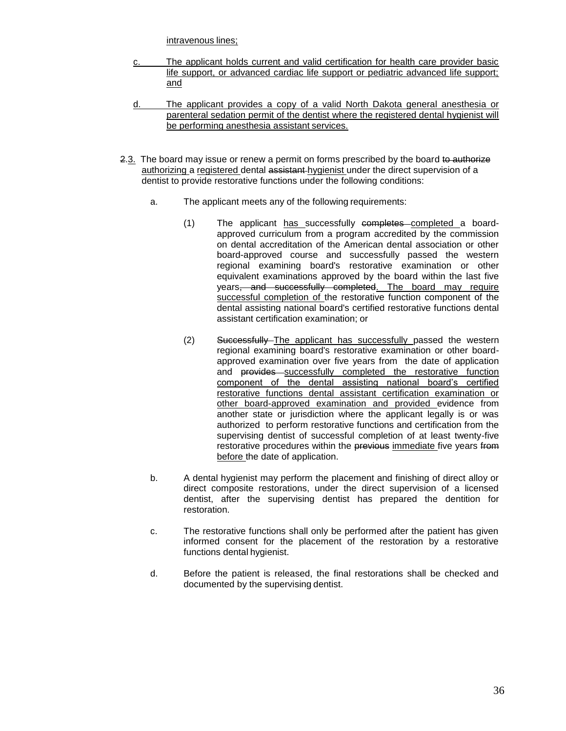intravenous lines;

- c. The applicant holds current and valid certification for health care provider basic life support, or advanced cardiac life support or pediatric advanced life support; and
- d. The applicant provides a copy of a valid North Dakota general anesthesia or parenteral sedation permit of the dentist where the registered dental hygienist will be performing anesthesia assistant services.
- 2.3. The board may issue or renew a permit on forms prescribed by the board to authorize authorizing a registered dental assistant hygienist under the direct supervision of a dentist to provide restorative functions under the following conditions:
	- a. The applicant meets any of the following requirements:
		- (1) The applicant has successfully completes completed a boardapproved curriculum from a program accredited by the commission on dental accreditation of the American dental association or other board-approved course and successfully passed the western regional examining board's restorative examination or other equivalent examinations approved by the board within the last five years<del>, and successfully completed</del>. The board may require successful completion of the restorative function component of the dental assisting national board's certified restorative functions dental assistant certification examination; or
		- (2) Successfully The applicant has successfully passed the western regional examining board's restorative examination or other boardapproved examination over five years from the date of application and provides successfully completed the restorative function component of the dental assisting national board's certified restorative functions dental assistant certification examination or other board-approved examination and provided evidence from another state or jurisdiction where the applicant legally is or was authorized to perform restorative functions and certification from the supervising dentist of successful completion of at least twenty-five restorative procedures within the previous immediate five years from before the date of application.
	- b. A dental hygienist may perform the placement and finishing of direct alloy or direct composite restorations, under the direct supervision of a licensed dentist, after the supervising dentist has prepared the dentition for restoration.
	- c. The restorative functions shall only be performed after the patient has given informed consent for the placement of the restoration by a restorative functions dental hygienist.
	- d. Before the patient is released, the final restorations shall be checked and documented by the supervising dentist.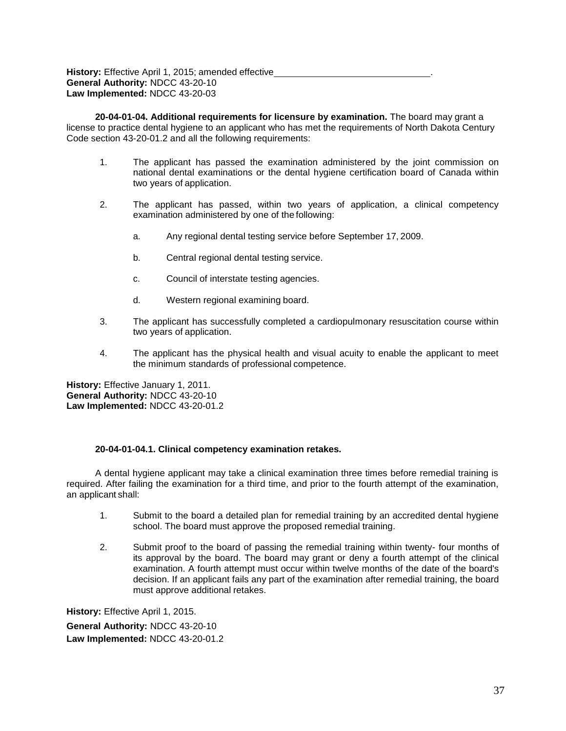**History:** Effective April 1, 2015; amended effective **General Authority:** NDCC 43-20-10 **Law Implemented:** NDCC 43-20-03

**20-04-01-04. Additional requirements for licensure by examination.** The board may grant a license to practice dental hygiene to an applicant who has met the requirements of North Dakota Century Code section 43-20-01.2 and all the following requirements:

- 1. The applicant has passed the examination administered by the joint commission on national dental examinations or the dental hygiene certification board of Canada within two years of application.
- 2. The applicant has passed, within two years of application, a clinical competency examination administered by one of the following:
	- a. Any regional dental testing service before September 17, 2009.
	- b. Central regional dental testing service.
	- c. Council of interstate testing agencies.
	- d. Western regional examining board.
- 3. The applicant has successfully completed a cardiopulmonary resuscitation course within two years of application.
- 4. The applicant has the physical health and visual acuity to enable the applicant to meet the minimum standards of professional competence.

**History:** Effective January 1, 2011. **General Authority:** NDCC 43-20-10 **Law Implemented:** NDCC 43-20-01.2

#### **20-04-01-04.1. Clinical competency examination retakes.**

A dental hygiene applicant may take a clinical examination three times before remedial training is required. After failing the examination for a third time, and prior to the fourth attempt of the examination, an applicant shall:

- 1. Submit to the board a detailed plan for remedial training by an accredited dental hygiene school. The board must approve the proposed remedial training.
- 2. Submit proof to the board of passing the remedial training within twenty- four months of its approval by the board. The board may grant or deny a fourth attempt of the clinical examination. A fourth attempt must occur within twelve months of the date of the board's decision. If an applicant fails any part of the examination after remedial training, the board must approve additional retakes.

**History:** Effective April 1, 2015. **General Authority:** NDCC 43-20-10 **Law Implemented:** NDCC 43-20-01.2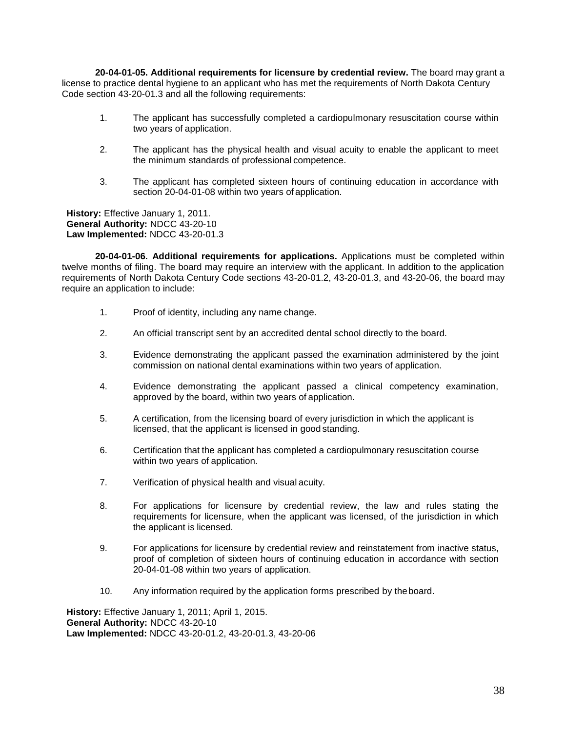**20-04-01-05. Additional requirements for licensure by credential review.** The board may grant a license to practice dental hygiene to an applicant who has met the requirements of North Dakota Century Code section 43-20-01.3 and all the following requirements:

- 1. The applicant has successfully completed a cardiopulmonary resuscitation course within two years of application.
- 2. The applicant has the physical health and visual acuity to enable the applicant to meet the minimum standards of professional competence.
- 3. The applicant has completed sixteen hours of continuing education in accordance with section 20-04-01-08 within two years of application.

**History:** Effective January 1, 2011. **General Authority:** NDCC 43-20-10 **Law Implemented:** NDCC 43-20-01.3

**20-04-01-06. Additional requirements for applications.** Applications must be completed within twelve months of filing. The board may require an interview with the applicant. In addition to the application requirements of North Dakota Century Code sections 43-20-01.2, 43-20-01.3, and 43-20-06, the board may require an application to include:

- 1. Proof of identity, including any name change.
- 2. An official transcript sent by an accredited dental school directly to the board.
- 3. Evidence demonstrating the applicant passed the examination administered by the joint commission on national dental examinations within two years of application.
- 4. Evidence demonstrating the applicant passed a clinical competency examination, approved by the board, within two years of application.
- 5. A certification, from the licensing board of every jurisdiction in which the applicant is licensed, that the applicant is licensed in good standing.
- 6. Certification that the applicant has completed a cardiopulmonary resuscitation course within two years of application.
- 7. Verification of physical health and visual acuity.
- 8. For applications for licensure by credential review, the law and rules stating the requirements for licensure, when the applicant was licensed, of the jurisdiction in which the applicant is licensed.
- 9. For applications for licensure by credential review and reinstatement from inactive status, proof of completion of sixteen hours of continuing education in accordance with section 20-04-01-08 within two years of application.
- 10. Any information required by the application forms prescribed by theboard.

**History:** Effective January 1, 2011; April 1, 2015. **General Authority:** NDCC 43-20-10 **Law Implemented:** NDCC 43-20-01.2, 43-20-01.3, 43-20-06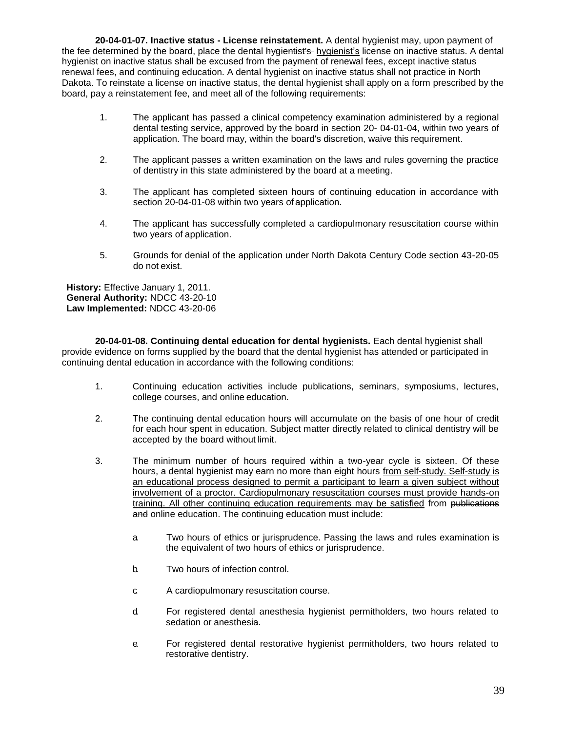**20-04-01-07. Inactive status - License reinstatement.** A dental hygienist may, upon payment of the fee determined by the board, place the dental hygientist's hygienist's license on inactive status. A dental hygienist on inactive status shall be excused from the payment of renewal fees, except inactive status renewal fees, and continuing education. A dental hygienist on inactive status shall not practice in North Dakota. To reinstate a license on inactive status, the dental hygienist shall apply on a form prescribed by the board, pay a reinstatement fee, and meet all of the following requirements:

- 1. The applicant has passed a clinical competency examination administered by a regional dental testing service, approved by the board in section 20- 04-01-04, within two years of application. The board may, within the board's discretion, waive this requirement.
- 2. The applicant passes a written examination on the laws and rules governing the practice of dentistry in this state administered by the board at a meeting.
- 3. The applicant has completed sixteen hours of continuing education in accordance with section 20-04-01-08 within two years of application.
- 4. The applicant has successfully completed a cardiopulmonary resuscitation course within two years of application.
- 5. Grounds for denial of the application under North Dakota Century Code section 43-20-05 do not exist.

**History:** Effective January 1, 2011. **General Authority:** NDCC 43-20-10 **Law Implemented:** NDCC 43-20-06

**20-04-01-08. Continuing dental education for dental hygienists.** Each dental hygienist shall provide evidence on forms supplied by the board that the dental hygienist has attended or participated in continuing dental education in accordance with the following conditions:

- 1. Continuing education activities include publications, seminars, symposiums, lectures, college courses, and online education.
- 2. The continuing dental education hours will accumulate on the basis of one hour of credit for each hour spent in education. Subject matter directly related to clinical dentistry will be accepted by the board without limit.
- 3. The minimum number of hours required within a two-year cycle is sixteen. Of these hours, a dental hygienist may earn no more than eight hours from self-study. Self-study is an educational process designed to permit a participant to learn a given subject without involvement of a proctor. Cardiopulmonary resuscitation courses must provide hands-on training. All other continuing education requirements may be satisfied from publications and online education. The continuing education must include:
	- a. Two hours of ethics or jurisprudence. Passing the laws and rules examination is the equivalent of two hours of ethics or jurisprudence.
	- b. Two hours of infection control.
	- c. A cardiopulmonary resuscitation course.
	- d. For registered dental anesthesia hygienist permitholders, two hours related to sedation or anesthesia.
	- e. For registered dental restorative hygienist permitholders, two hours related to restorative dentistry.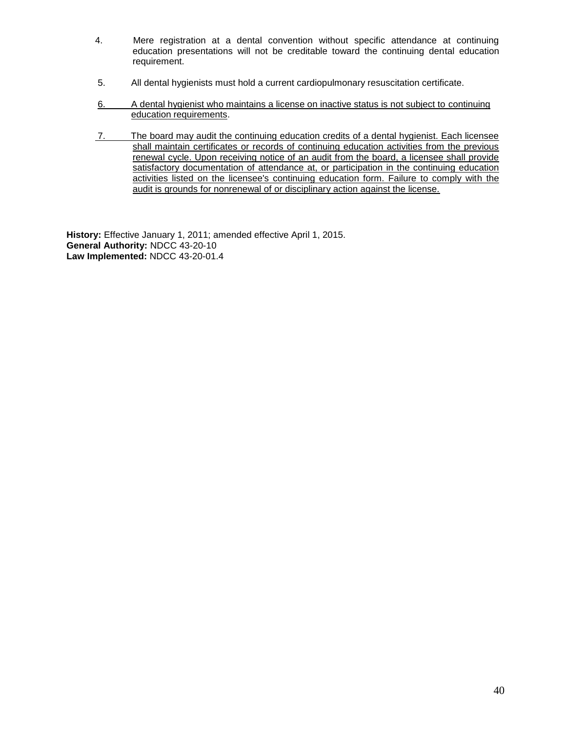- 4. Mere registration at a dental convention without specific attendance at continuing education presentations will not be creditable toward the continuing dental education requirement.
- 5. All dental hygienists must hold a current cardiopulmonary resuscitation certificate.
- 6. A dental hygienist who maintains a license on inactive status is not subject to continuing education requirements.
- 7. The board may audit the continuing education credits of a dental hygienist. Each licensee shall maintain certificates or records of continuing education activities from the previous renewal cycle. Upon receiving notice of an audit from the board, a licensee shall provide satisfactory documentation of attendance at, or participation in the continuing education activities listed on the licensee's continuing education form. Failure to comply with the audit is grounds for nonrenewal of or disciplinary action against the license.

**History:** Effective January 1, 2011; amended effective April 1, 2015. **General Authority:** NDCC 43-20-10 **Law Implemented:** NDCC 43-20-01.4